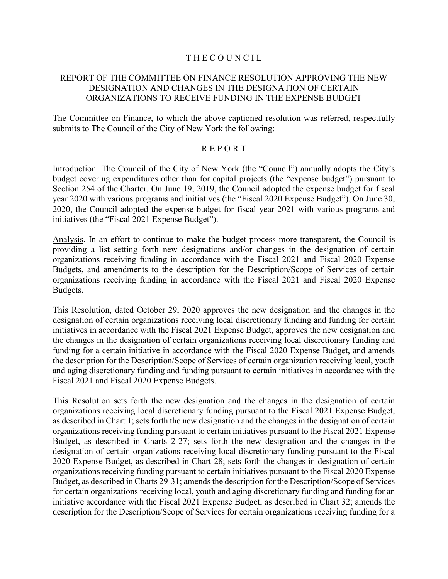# THE COUNCIL

# REPORT OF THE COMMITTEE ON FINANCE RESOLUTION APPROVING THE NEW DESIGNATION AND CHANGES IN THE DESIGNATION OF CERTAIN ORGANIZATIONS TO RECEIVE FUNDING IN THE EXPENSE BUDGET

The Committee on Finance, to which the above-captioned resolution was referred, respectfully submits to The Council of the City of New York the following:

## R E P O R T

Introduction. The Council of the City of New York (the "Council") annually adopts the City's budget covering expenditures other than for capital projects (the "expense budget") pursuant to Section 254 of the Charter. On June 19, 2019, the Council adopted the expense budget for fiscal year 2020 with various programs and initiatives (the "Fiscal 2020 Expense Budget"). On June 30, 2020, the Council adopted the expense budget for fiscal year 2021 with various programs and initiatives (the "Fiscal 2021 Expense Budget").

Analysis. In an effort to continue to make the budget process more transparent, the Council is providing a list setting forth new designations and/or changes in the designation of certain organizations receiving funding in accordance with the Fiscal 2021 and Fiscal 2020 Expense Budgets, and amendments to the description for the Description/Scope of Services of certain organizations receiving funding in accordance with the Fiscal 2021 and Fiscal 2020 Expense Budgets.

This Resolution, dated October 29, 2020 approves the new designation and the changes in the designation of certain organizations receiving local discretionary funding and funding for certain initiatives in accordance with the Fiscal 2021 Expense Budget, approves the new designation and the changes in the designation of certain organizations receiving local discretionary funding and funding for a certain initiative in accordance with the Fiscal 2020 Expense Budget, and amends the description for the Description/Scope of Services of certain organization receiving local, youth and aging discretionary funding and funding pursuant to certain initiatives in accordance with the Fiscal 2021 and Fiscal 2020 Expense Budgets.

This Resolution sets forth the new designation and the changes in the designation of certain organizations receiving local discretionary funding pursuant to the Fiscal 2021 Expense Budget, as described in Chart 1; sets forth the new designation and the changes in the designation of certain organizations receiving funding pursuant to certain initiatives pursuant to the Fiscal 2021 Expense Budget, as described in Charts 2-27; sets forth the new designation and the changes in the designation of certain organizations receiving local discretionary funding pursuant to the Fiscal 2020 Expense Budget, as described in Chart 28; sets forth the changes in designation of certain organizations receiving funding pursuant to certain initiatives pursuant to the Fiscal 2020 Expense Budget, as described in Charts 29-31; amends the description for the Description/Scope of Services for certain organizations receiving local, youth and aging discretionary funding and funding for an initiative accordance with the Fiscal 2021 Expense Budget, as described in Chart 32; amends the description for the Description/Scope of Services for certain organizations receiving funding for a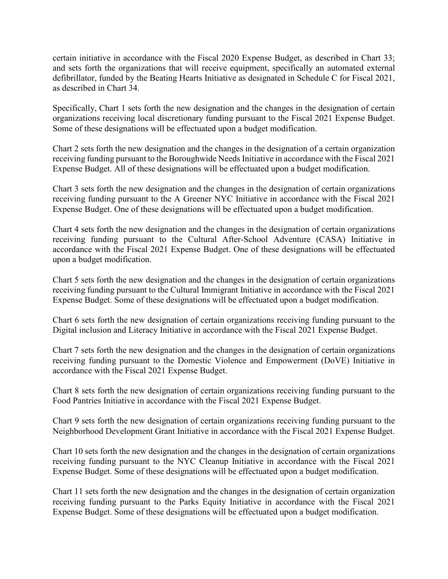certain initiative in accordance with the Fiscal 2020 Expense Budget, as described in Chart 33; and sets forth the organizations that will receive equipment, specifically an automated external defibrillator, funded by the Beating Hearts Initiative as designated in Schedule C for Fiscal 2021, as described in Chart 34.

Specifically, Chart 1 sets forth the new designation and the changes in the designation of certain organizations receiving local discretionary funding pursuant to the Fiscal 2021 Expense Budget. Some of these designations will be effectuated upon a budget modification.

Chart 2 sets forth the new designation and the changes in the designation of a certain organization receiving funding pursuant to the Boroughwide Needs Initiative in accordance with the Fiscal 2021 Expense Budget. All of these designations will be effectuated upon a budget modification.

Chart 3 sets forth the new designation and the changes in the designation of certain organizations receiving funding pursuant to the A Greener NYC Initiative in accordance with the Fiscal 2021 Expense Budget. One of these designations will be effectuated upon a budget modification.

Chart 4 sets forth the new designation and the changes in the designation of certain organizations receiving funding pursuant to the Cultural After-School Adventure (CASA) Initiative in accordance with the Fiscal 2021 Expense Budget. One of these designations will be effectuated upon a budget modification.

Chart 5 sets forth the new designation and the changes in the designation of certain organizations receiving funding pursuant to the Cultural Immigrant Initiative in accordance with the Fiscal 2021 Expense Budget. Some of these designations will be effectuated upon a budget modification.

Chart 6 sets forth the new designation of certain organizations receiving funding pursuant to the Digital inclusion and Literacy Initiative in accordance with the Fiscal 2021 Expense Budget.

Chart 7 sets forth the new designation and the changes in the designation of certain organizations receiving funding pursuant to the Domestic Violence and Empowerment (DoVE) Initiative in accordance with the Fiscal 2021 Expense Budget.

Chart 8 sets forth the new designation of certain organizations receiving funding pursuant to the Food Pantries Initiative in accordance with the Fiscal 2021 Expense Budget.

Chart 9 sets forth the new designation of certain organizations receiving funding pursuant to the Neighborhood Development Grant Initiative in accordance with the Fiscal 2021 Expense Budget.

Chart 10 sets forth the new designation and the changes in the designation of certain organizations receiving funding pursuant to the NYC Cleanup Initiative in accordance with the Fiscal 2021 Expense Budget. Some of these designations will be effectuated upon a budget modification.

Chart 11 sets forth the new designation and the changes in the designation of certain organization receiving funding pursuant to the Parks Equity Initiative in accordance with the Fiscal 2021 Expense Budget. Some of these designations will be effectuated upon a budget modification.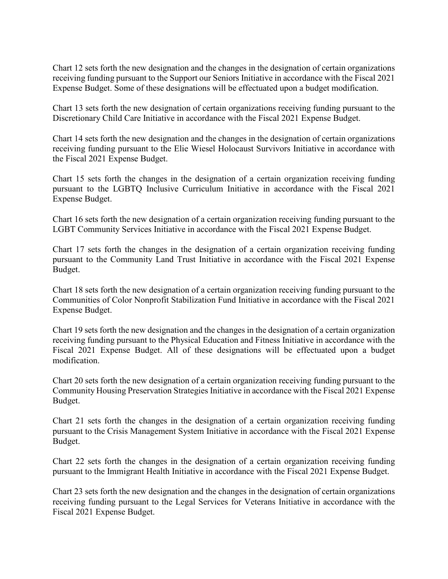Chart 12 sets forth the new designation and the changes in the designation of certain organizations receiving funding pursuant to the Support our Seniors Initiative in accordance with the Fiscal 2021 Expense Budget. Some of these designations will be effectuated upon a budget modification.

Chart 13 sets forth the new designation of certain organizations receiving funding pursuant to the Discretionary Child Care Initiative in accordance with the Fiscal 2021 Expense Budget.

Chart 14 sets forth the new designation and the changes in the designation of certain organizations receiving funding pursuant to the Elie Wiesel Holocaust Survivors Initiative in accordance with the Fiscal 2021 Expense Budget.

Chart 15 sets forth the changes in the designation of a certain organization receiving funding pursuant to the LGBTQ Inclusive Curriculum Initiative in accordance with the Fiscal 2021 Expense Budget.

Chart 16 sets forth the new designation of a certain organization receiving funding pursuant to the LGBT Community Services Initiative in accordance with the Fiscal 2021 Expense Budget.

Chart 17 sets forth the changes in the designation of a certain organization receiving funding pursuant to the Community Land Trust Initiative in accordance with the Fiscal 2021 Expense Budget.

Chart 18 sets forth the new designation of a certain organization receiving funding pursuant to the Communities of Color Nonprofit Stabilization Fund Initiative in accordance with the Fiscal 2021 Expense Budget.

Chart 19 sets forth the new designation and the changes in the designation of a certain organization receiving funding pursuant to the Physical Education and Fitness Initiative in accordance with the Fiscal 2021 Expense Budget. All of these designations will be effectuated upon a budget modification.

Chart 20 sets forth the new designation of a certain organization receiving funding pursuant to the Community Housing Preservation Strategies Initiative in accordance with the Fiscal 2021 Expense Budget.

Chart 21 sets forth the changes in the designation of a certain organization receiving funding pursuant to the Crisis Management System Initiative in accordance with the Fiscal 2021 Expense Budget.

Chart 22 sets forth the changes in the designation of a certain organization receiving funding pursuant to the Immigrant Health Initiative in accordance with the Fiscal 2021 Expense Budget.

Chart 23 sets forth the new designation and the changes in the designation of certain organizations receiving funding pursuant to the Legal Services for Veterans Initiative in accordance with the Fiscal 2021 Expense Budget.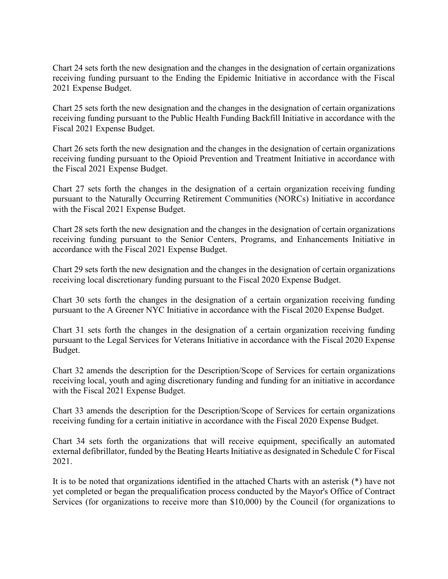Chart 24 sets forth the new designation and the changes in the designation of certain organizations receiving funding pursuant to the Ending the Epidemic Initiative in accordance with the Fiscal 2021 Expense Budget.

Chart 25 sets forth the new designation and the changes in the designation of certain organizations receiving funding pursuant to the Public Health Funding Backfill Initiative in accordance with the Fiscal 2021 Expense Budget.

Chart 26 sets forth the new designation and the changes in the designation of certain organizations receiving funding pursuant to the Opioid Prevention and Treatment Initiative in accordance with the Fiscal 2021 Expense Budget.

Chart 27 sets forth the changes in the designation of a certain organization receiving funding pursuant to the Naturally Occurring Retirement Communities (NORCs) Initiative in accordance with the Fiscal 2021 Expense Budget.

Chart 28 sets forth the new designation and the changes in the designation of certain organizations receiving funding pursuant to the Senior Centers, Programs, and Enhancements Initiative in accordance with the Fiscal 2021 Expense Budget.

Chart 29 sets forth the new designation and the changes in the designation of certain organizations receiving local discretionary funding pursuant to the Fiscal 2020 Expense Budget.

Chart 30 sets forth the changes in the designation of a certain organization receiving funding pursuant to the A Greener NYC Initiative in accordance with the Fiscal 2020 Expense Budget.

Chart 31 sets forth the changes in the designation of a certain organization receiving funding pursuant to the Legal Services for Veterans Initiative in accordance with the Fiscal 2020 Expense Budget.

Chart 32 amends the description for the Description/Scope of Services for certain organizations receiving local, youth and aging discretionary funding and funding for an initiative in accordance with the Fiscal 2021 Expense Budget.

Chart 33 amends the description for the Description/Scope of Services for certain organizations receiving funding for a certain initiative in accordance with the Fiscal 2020 Expense Budget.

Chart 34 sets forth the organizations that will receive equipment, specifically an automated external defibrillator, funded by the Beating Hearts Initiative as designated in Schedule C for Fiscal 2021.

It is to be noted that organizations identified in the attached Charts with an asterisk (\*) have not yet completed or began the prequalification process conducted by the Mayor's Office of Contract Services (for organizations to receive more than \$10,000) by the Council (for organizations to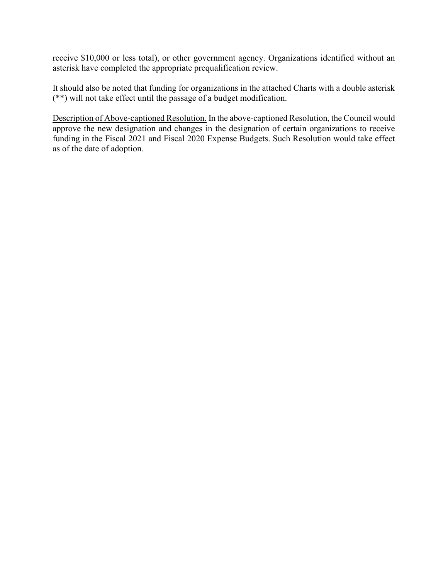receive \$10,000 or less total), or other government agency. Organizations identified without an asterisk have completed the appropriate prequalification review.

It should also be noted that funding for organizations in the attached Charts with a double asterisk (\*\*) will not take effect until the passage of a budget modification.

Description of Above-captioned Resolution. In the above-captioned Resolution, the Council would approve the new designation and changes in the designation of certain organizations to receive funding in the Fiscal 2021 and Fiscal 2020 Expense Budgets. Such Resolution would take effect as of the date of adoption.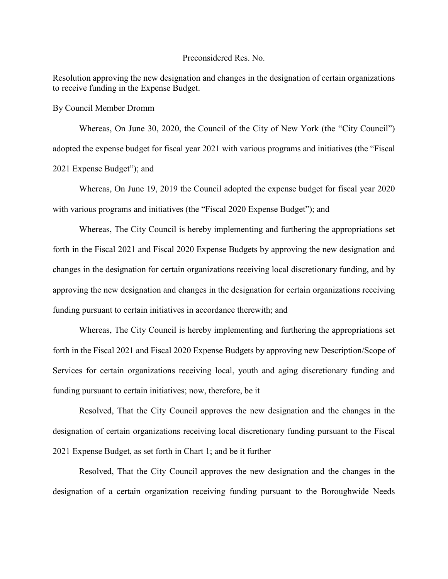#### Preconsidered Res. No.

Resolution approving the new designation and changes in the designation of certain organizations to receive funding in the Expense Budget.

By Council Member Dromm

Whereas, On June 30, 2020, the Council of the City of New York (the "City Council") adopted the expense budget for fiscal year 2021 with various programs and initiatives (the "Fiscal 2021 Expense Budget"); and

Whereas, On June 19, 2019 the Council adopted the expense budget for fiscal year 2020 with various programs and initiatives (the "Fiscal 2020 Expense Budget"); and

Whereas, The City Council is hereby implementing and furthering the appropriations set forth in the Fiscal 2021 and Fiscal 2020 Expense Budgets by approving the new designation and changes in the designation for certain organizations receiving local discretionary funding, and by approving the new designation and changes in the designation for certain organizations receiving funding pursuant to certain initiatives in accordance therewith; and

Whereas, The City Council is hereby implementing and furthering the appropriations set forth in the Fiscal 2021 and Fiscal 2020 Expense Budgets by approving new Description/Scope of Services for certain organizations receiving local, youth and aging discretionary funding and funding pursuant to certain initiatives; now, therefore, be it

Resolved, That the City Council approves the new designation and the changes in the designation of certain organizations receiving local discretionary funding pursuant to the Fiscal 2021 Expense Budget, as set forth in Chart 1; and be it further

Resolved, That the City Council approves the new designation and the changes in the designation of a certain organization receiving funding pursuant to the Boroughwide Needs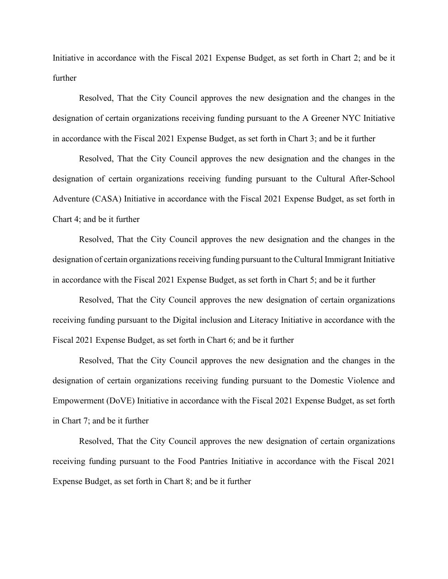Initiative in accordance with the Fiscal 2021 Expense Budget, as set forth in Chart 2; and be it further

Resolved, That the City Council approves the new designation and the changes in the designation of certain organizations receiving funding pursuant to the A Greener NYC Initiative in accordance with the Fiscal 2021 Expense Budget, as set forth in Chart 3; and be it further

Resolved, That the City Council approves the new designation and the changes in the designation of certain organizations receiving funding pursuant to the Cultural After-School Adventure (CASA) Initiative in accordance with the Fiscal 2021 Expense Budget, as set forth in Chart 4; and be it further

Resolved, That the City Council approves the new designation and the changes in the designation of certain organizations receiving funding pursuant to the Cultural Immigrant Initiative in accordance with the Fiscal 2021 Expense Budget, as set forth in Chart 5; and be it further

Resolved, That the City Council approves the new designation of certain organizations receiving funding pursuant to the Digital inclusion and Literacy Initiative in accordance with the Fiscal 2021 Expense Budget, as set forth in Chart 6; and be it further

Resolved, That the City Council approves the new designation and the changes in the designation of certain organizations receiving funding pursuant to the Domestic Violence and Empowerment (DoVE) Initiative in accordance with the Fiscal 2021 Expense Budget, as set forth in Chart 7; and be it further

Resolved, That the City Council approves the new designation of certain organizations receiving funding pursuant to the Food Pantries Initiative in accordance with the Fiscal 2021 Expense Budget, as set forth in Chart 8; and be it further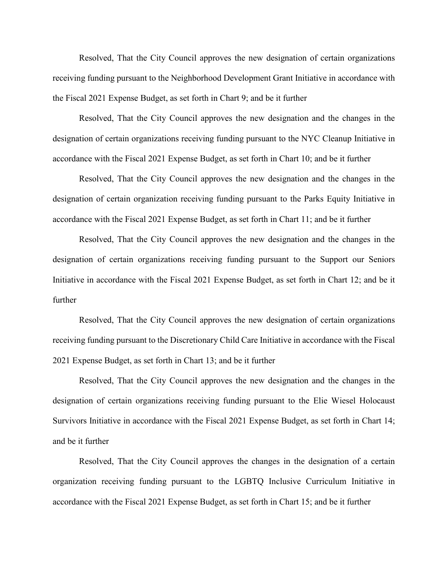Resolved, That the City Council approves the new designation of certain organizations receiving funding pursuant to the Neighborhood Development Grant Initiative in accordance with the Fiscal 2021 Expense Budget, as set forth in Chart 9; and be it further

Resolved, That the City Council approves the new designation and the changes in the designation of certain organizations receiving funding pursuant to the NYC Cleanup Initiative in accordance with the Fiscal 2021 Expense Budget, as set forth in Chart 10; and be it further

Resolved, That the City Council approves the new designation and the changes in the designation of certain organization receiving funding pursuant to the Parks Equity Initiative in accordance with the Fiscal 2021 Expense Budget, as set forth in Chart 11; and be it further

Resolved, That the City Council approves the new designation and the changes in the designation of certain organizations receiving funding pursuant to the Support our Seniors Initiative in accordance with the Fiscal 2021 Expense Budget, as set forth in Chart 12; and be it further

Resolved, That the City Council approves the new designation of certain organizations receiving funding pursuant to the Discretionary Child Care Initiative in accordance with the Fiscal 2021 Expense Budget, as set forth in Chart 13; and be it further

Resolved, That the City Council approves the new designation and the changes in the designation of certain organizations receiving funding pursuant to the Elie Wiesel Holocaust Survivors Initiative in accordance with the Fiscal 2021 Expense Budget, as set forth in Chart 14; and be it further

Resolved, That the City Council approves the changes in the designation of a certain organization receiving funding pursuant to the LGBTQ Inclusive Curriculum Initiative in accordance with the Fiscal 2021 Expense Budget, as set forth in Chart 15; and be it further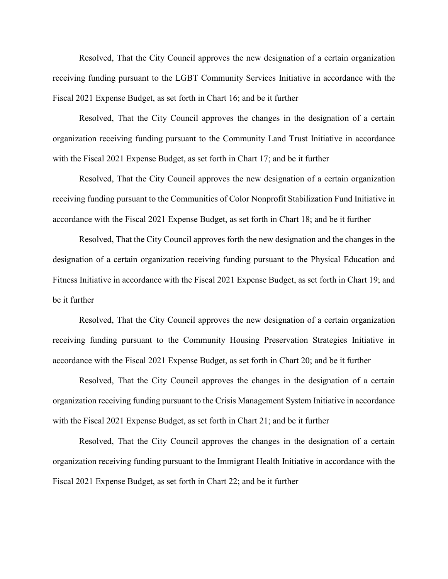Resolved, That the City Council approves the new designation of a certain organization receiving funding pursuant to the LGBT Community Services Initiative in accordance with the Fiscal 2021 Expense Budget, as set forth in Chart 16; and be it further

Resolved, That the City Council approves the changes in the designation of a certain organization receiving funding pursuant to the Community Land Trust Initiative in accordance with the Fiscal 2021 Expense Budget, as set forth in Chart 17; and be it further

Resolved, That the City Council approves the new designation of a certain organization receiving funding pursuant to the Communities of Color Nonprofit Stabilization Fund Initiative in accordance with the Fiscal 2021 Expense Budget, as set forth in Chart 18; and be it further

Resolved, That the City Council approves forth the new designation and the changes in the designation of a certain organization receiving funding pursuant to the Physical Education and Fitness Initiative in accordance with the Fiscal 2021 Expense Budget, as set forth in Chart 19; and be it further

Resolved, That the City Council approves the new designation of a certain organization receiving funding pursuant to the Community Housing Preservation Strategies Initiative in accordance with the Fiscal 2021 Expense Budget, as set forth in Chart 20; and be it further

Resolved, That the City Council approves the changes in the designation of a certain organization receiving funding pursuant to the Crisis Management System Initiative in accordance with the Fiscal 2021 Expense Budget, as set forth in Chart 21; and be it further

Resolved, That the City Council approves the changes in the designation of a certain organization receiving funding pursuant to the Immigrant Health Initiative in accordance with the Fiscal 2021 Expense Budget, as set forth in Chart 22; and be it further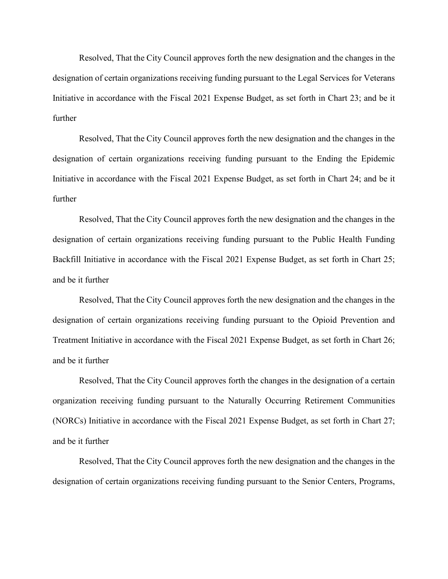Resolved, That the City Council approves forth the new designation and the changes in the designation of certain organizations receiving funding pursuant to the Legal Services for Veterans Initiative in accordance with the Fiscal 2021 Expense Budget, as set forth in Chart 23; and be it further

Resolved, That the City Council approves forth the new designation and the changes in the designation of certain organizations receiving funding pursuant to the Ending the Epidemic Initiative in accordance with the Fiscal 2021 Expense Budget, as set forth in Chart 24; and be it further

Resolved, That the City Council approves forth the new designation and the changes in the designation of certain organizations receiving funding pursuant to the Public Health Funding Backfill Initiative in accordance with the Fiscal 2021 Expense Budget, as set forth in Chart 25; and be it further

Resolved, That the City Council approves forth the new designation and the changes in the designation of certain organizations receiving funding pursuant to the Opioid Prevention and Treatment Initiative in accordance with the Fiscal 2021 Expense Budget, as set forth in Chart 26; and be it further

Resolved, That the City Council approves forth the changes in the designation of a certain organization receiving funding pursuant to the Naturally Occurring Retirement Communities (NORCs) Initiative in accordance with the Fiscal 2021 Expense Budget, as set forth in Chart 27; and be it further

Resolved, That the City Council approves forth the new designation and the changes in the designation of certain organizations receiving funding pursuant to the Senior Centers, Programs,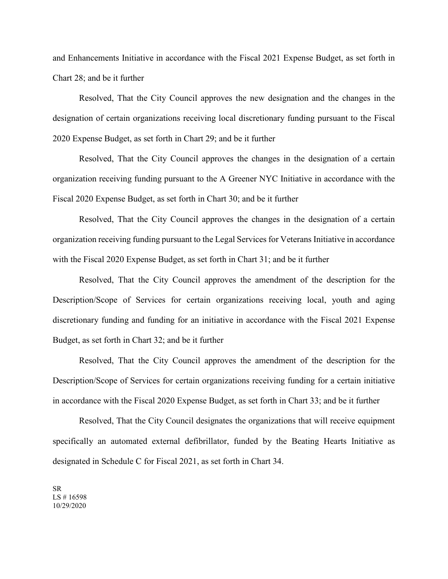and Enhancements Initiative in accordance with the Fiscal 2021 Expense Budget, as set forth in Chart 28; and be it further

Resolved, That the City Council approves the new designation and the changes in the designation of certain organizations receiving local discretionary funding pursuant to the Fiscal 2020 Expense Budget, as set forth in Chart 29; and be it further

Resolved, That the City Council approves the changes in the designation of a certain organization receiving funding pursuant to the A Greener NYC Initiative in accordance with the Fiscal 2020 Expense Budget, as set forth in Chart 30; and be it further

Resolved, That the City Council approves the changes in the designation of a certain organization receiving funding pursuant to the Legal Services for Veterans Initiative in accordance with the Fiscal 2020 Expense Budget, as set forth in Chart 31; and be it further

Resolved, That the City Council approves the amendment of the description for the Description/Scope of Services for certain organizations receiving local, youth and aging discretionary funding and funding for an initiative in accordance with the Fiscal 2021 Expense Budget, as set forth in Chart 32; and be it further

Resolved, That the City Council approves the amendment of the description for the Description/Scope of Services for certain organizations receiving funding for a certain initiative in accordance with the Fiscal 2020 Expense Budget, as set forth in Chart 33; and be it further

Resolved, That the City Council designates the organizations that will receive equipment specifically an automated external defibrillator, funded by the Beating Hearts Initiative as designated in Schedule C for Fiscal 2021, as set forth in Chart 34.

SR LS # 16598 10/29/2020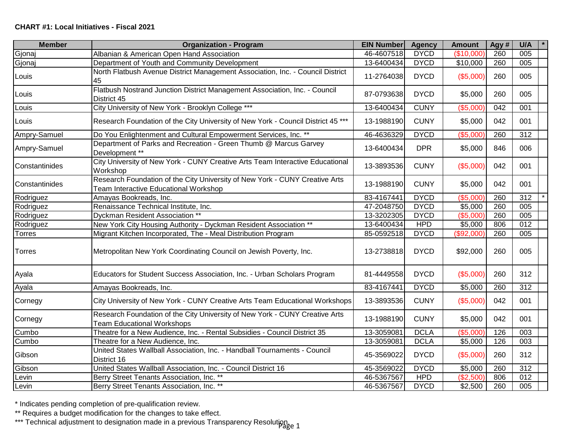| <b>Member</b>  | <b>Organization - Program</b>                                                                                        | <b>EIN Number</b> | <b>Agency</b> | <b>Amount</b> | Agy # | U/A              |
|----------------|----------------------------------------------------------------------------------------------------------------------|-------------------|---------------|---------------|-------|------------------|
| Gjonaj         | Albanian & American Open Hand Association                                                                            | 46-4607518        | <b>DYCD</b>   | (\$10,000)    | 260   | 005              |
| Gjonaj         | Department of Youth and Community Development                                                                        | 13-6400434        | <b>DYCD</b>   | \$10,000      | 260   | 005              |
| Louis          | North Flatbush Avenue District Management Association, Inc. - Council District<br>45                                 | 11-2764038        | <b>DYCD</b>   | (\$5,000)     | 260   | 005              |
| Louis          | Flatbush Nostrand Junction District Management Association, Inc. - Council<br>District 45                            | 87-0793638        | <b>DYCD</b>   | \$5,000       | 260   | 005              |
| Louis          | City University of New York - Brooklyn College ***                                                                   | 13-6400434        | <b>CUNY</b>   | (\$5,000)     | 042   | 001              |
| Louis          | Research Foundation of the City University of New York - Council District 45 ***                                     | 13-1988190        | <b>CUNY</b>   | \$5,000       | 042   | 001              |
| Ampry-Samuel   | Do You Enlightenment and Cultural Empowerment Services, Inc. **                                                      | 46-4636329        | <b>DYCD</b>   | (\$5,000)     | 260   | $\overline{312}$ |
| Ampry-Samuel   | Department of Parks and Recreation - Green Thumb @ Marcus Garvey<br>Development **                                   | 13-6400434        | <b>DPR</b>    | \$5,000       | 846   | 006              |
| Constantinides | City University of New York - CUNY Creative Arts Team Interactive Educational<br>Workshop                            | 13-3893536        | <b>CUNY</b>   | (\$5,000)     | 042   | 001              |
| Constantinides | Research Foundation of the City University of New York - CUNY Creative Arts<br>Team Interactive Educational Workshop | 13-1988190        | <b>CUNY</b>   | \$5,000       | 042   | 001              |
| Rodriguez      | Amayas Bookreads, Inc.                                                                                               | 83-4167441        | <b>DYCD</b>   | (\$5,000      | 260   | 312              |
| Rodriguez      | Renaissance Technical Institute, Inc.                                                                                | 47-2048750        | <b>DYCD</b>   | \$5,000       | 260   | 005              |
| Rodriguez      | Dyckman Resident Association **                                                                                      | 13-3202305        | <b>DYCD</b>   | (\$5,000"     | 260   | 005              |
| Rodriguez      | New York City Housing Authority - Dyckman Resident Association **                                                    | 13-6400434        | <b>HPD</b>    | \$5,000       | 806   | 012              |
| <b>Torres</b>  | Migrant Kitchen Incorporated, The - Meal Distribution Program                                                        | 85-0592518        | <b>DYCD</b>   | (\$92,000)    | 260   | 005              |
| <b>Torres</b>  | Metropolitan New York Coordinating Council on Jewish Poverty, Inc.                                                   | 13-2738818        | <b>DYCD</b>   | \$92,000      | 260   | 005              |
| Ayala          | Educators for Student Success Association, Inc. - Urban Scholars Program                                             | 81-4449558        | <b>DYCD</b>   | (\$5,000)     | 260   | 312              |
| Ayala          | Amayas Bookreads, Inc.                                                                                               | 83-4167441        | <b>DYCD</b>   | \$5,000       | 260   | $\overline{312}$ |
| Cornegy        | City University of New York - CUNY Creative Arts Team Educational Workshops                                          | 13-3893536        | <b>CUNY</b>   | (\$5,000)     | 042   | 001              |
| Cornegy        | Research Foundation of the City University of New York - CUNY Creative Arts<br><b>Team Educational Workshops</b>     | 13-1988190        | <b>CUNY</b>   | \$5,000       | 042   | 001              |
| Cumbo          | Theatre for a New Audience, Inc. - Rental Subsidies - Council District 35                                            | 13-3059081        | <b>DCLA</b>   | (\$5,000      | 126   | 003              |
| Cumbo          | Theatre for a New Audience, Inc.                                                                                     | 13-3059081        | <b>DCLA</b>   | \$5,000       | 126   | 003              |
| Gibson         | United States Wallball Association, Inc. - Handball Tournaments - Council<br>District 16                             | 45-3569022        | <b>DYCD</b>   | (\$5,000)     | 260   | 312              |
| Gibson         | United States Wallball Association, Inc. - Council District 16                                                       | 45-3569022        | <b>DYCD</b>   | \$5,000       | 260   | 312              |
| Levin          | Berry Street Tenants Association, Inc. **                                                                            | 46-5367567        | <b>HPD</b>    | (\$2,500)     | 806   | $\overline{012}$ |
| Levin          | Berry Street Tenants Association, Inc. **                                                                            | 46-5367567        | <b>DYCD</b>   | \$2,500       | 260   | 005              |

\*\* Requires a budget modification for the changes to take effect.

\*\*\* Technical adjustment to designation made in a previous Transparency Resolution.<br>1892 1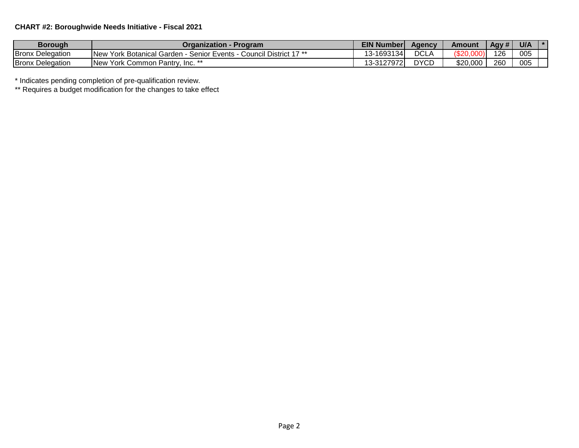## **CHART #2: Boroughwide Needs Initiative - Fiscal 2021**

| Borough                 | Organization -<br>- Program                                            | <b>EIN Number</b> | Aaencv      | Amount   | Agy # | U/A |  |
|-------------------------|------------------------------------------------------------------------|-------------------|-------------|----------|-------|-----|--|
| <b>Bronx Delegation</b> | Council District 17 **<br>New York Botanical Garden -<br>Senior Events | 13-1693134        | <b>DCLA</b> | 920.∖    | 126   | 005 |  |
| <b>Bronx Delegation</b> | <b>INew</b><br>√ York Common Pantrv.<br>. Inc. **                      | 13-31279721       | <b>DYCD</b> | \$20,000 | 260   | 005 |  |

\* Indicates pending completion of pre-qualification review.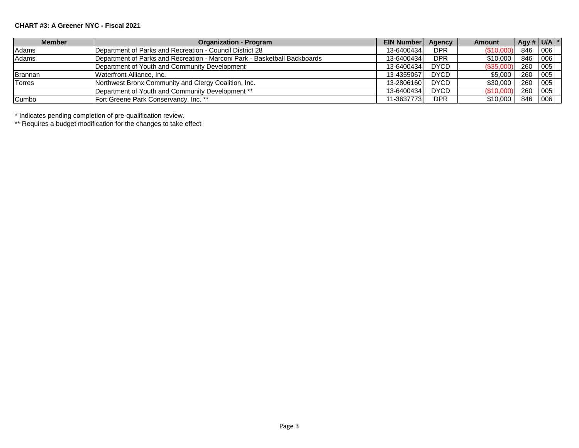#### **CHART #3: A Greener NYC - Fiscal 2021**

| <b>Member</b> | <b>Organization - Program</b>                                             | <b>EIN Number</b> | Agency      | <b>Amount</b> | $\left  \right $ Agy # $\left  \right $ U/A $\left  * \right $ |      |
|---------------|---------------------------------------------------------------------------|-------------------|-------------|---------------|----------------------------------------------------------------|------|
| Adams         | IDepartment of Parks and Recreation - Council District 28                 | 13-6400434        | <b>DPR</b>  | \$10,00       | 846                                                            | 1006 |
| <b>Adams</b>  | Department of Parks and Recreation - Marconi Park - Basketball Backboards | 13-6400434        | <b>DPR</b>  | \$10,000      | 846 006                                                        |      |
|               | Department of Youth and Community Development                             | 13-6400434        | <b>DYCD</b> | (\$35,000)    | 260                                                            | 005  |
| Brannan       | Waterfront Alliance, Inc.                                                 | 13-4355067        | <b>DYCD</b> | \$5,000       | 260                                                            | 005  |
| <b>Torres</b> | Northwest Bronx Community and Clergy Coalition, Inc.                      | 13-2806160        | <b>DYCD</b> | \$30,000      | 260                                                            | 005  |
|               | Department of Youth and Community Development **                          | 13-6400434        | <b>DYCD</b> | (\$10,000     | 260                                                            | 005  |
| Cumbo         | Fort Greene Park Conservancy, Inc. **                                     | 11-3637773        | <b>DPR</b>  | \$10,000      | 846                                                            | 006  |

\* Indicates pending completion of pre-qualification review.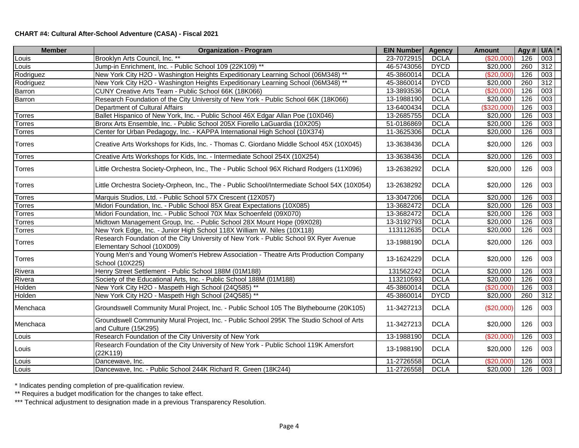### **CHART #4: Cultural After-School Adventure (CASA) - Fiscal 2021**

| <b>Member</b> | <b>Organization - Program</b>                                                                                       | <b>EIN Number</b> | <b>Agency</b> | <b>Amount</b> | Agy # $U/A$ * |                  |
|---------------|---------------------------------------------------------------------------------------------------------------------|-------------------|---------------|---------------|---------------|------------------|
| Louis         | Brooklyn Arts Council, Inc. **                                                                                      | 23-7072915        | <b>DCLA</b>   | (\$20,000)    | 126           | 003              |
| Louis         | Jump-in Enrichment, Inc. - Public School 109 (22K109) **                                                            | 46-5743056        | <b>DYCD</b>   | \$20,000      | 260           | 312              |
| Rodriguez     | New York City H2O - Washington Heights Expeditionary Learning School (06M348) **                                    | 45-3860014        | <b>DCLA</b>   | (\$20,000)    | 126           | 003              |
| Rodriguez     | New York City H2O - Washington Heights Expeditionary Learning School (06M348) **                                    | 45-3860014        | <b>DYCD</b>   | \$20,000      | 260           | 312              |
| <b>Barron</b> | CUNY Creative Arts Team - Public School 66K (18K066)                                                                | 13-3893536        | <b>DCLA</b>   | (S20,000)     | 126           | 003              |
| <b>Barron</b> | Research Foundation of the City University of New York - Public School 66K (18K066)                                 | 13-1988190        | <b>DCLA</b>   | \$20,000      | 126           | 003              |
|               | Department of Cultural Affairs                                                                                      | 13-6400434        | <b>DCLA</b>   | (\$320,000"   | 126           | 003              |
| <b>Torres</b> | Ballet Hispanico of New York, Inc. - Public School 46X Edgar Allan Poe (10X046)                                     | 13-2685755        | <b>DCLA</b>   | \$20,000      | 126           | 003              |
| <b>Torres</b> | Bronx Arts Ensemble, Inc. - Public School 205X Fiorello LaGuardia (10X205)                                          | 51-0186869        | <b>DCLA</b>   | \$20,000      | 126           | 003              |
| <b>Torres</b> | Center for Urban Pedagogy, Inc. - KAPPA International High School (10X374)                                          | 11-3625306        | <b>DCLA</b>   | \$20,000      | 126           | 003              |
| <b>Torres</b> | Creative Arts Workshops for Kids, Inc. - Thomas C. Giordano Middle School 45X (10X045)                              | 13-3638436        | <b>DCLA</b>   | \$20,000      | 126           | 003              |
| <b>Torres</b> | Creative Arts Workshops for Kids, Inc. - Intermediate School 254X (10X254)                                          | 13-3638436        | <b>DCLA</b>   | \$20,000      | 126           | $\overline{003}$ |
| <b>Torres</b> | Little Orchestra Society-Orpheon, Inc., The - Public School 96X Richard Rodgers (11X096)                            | 13-2638292        | <b>DCLA</b>   | \$20,000      | 126           | 003              |
| <b>Torres</b> | Little Orchestra Society-Orpheon, Inc., The - Public School/Intermediate School 54X (10X054)                        | 13-2638292        | <b>DCLA</b>   | \$20,000      | 126           | 003              |
| <b>Torres</b> | Marquis Studios, Ltd. - Public School 57X Crescent (12X057)                                                         | 13-3047206        | <b>DCLA</b>   | \$20,000      | 126           | 003              |
| <b>Torres</b> | Midori Foundation, Inc. - Public School 85X Great Expectations (10X085)                                             | 13-3682472        | <b>DCLA</b>   | \$20,000      | 126           | 003              |
| <b>Torres</b> | Midori Foundation, Inc. - Public School 70X Max Schoenfeld (09X070)                                                 | 13-3682472        | <b>DCLA</b>   | \$20,000      | 126           | $\overline{003}$ |
| <b>Torres</b> | Midtown Management Group, Inc. - Public School 28X Mount Hope (09X028)                                              | 13-3192793        | <b>DCLA</b>   | \$20,000      | 126           | 003              |
| <b>Torres</b> | New York Edge, Inc. - Junior High School 118X William W. Niles (10X118)                                             | 113112635         | <b>DCLA</b>   | \$20,000      | 126           | 003              |
| <b>Torres</b> | Research Foundation of the City University of New York - Public School 9X Ryer Avenue<br>Elementary School (10X009) | 13-1988190        | <b>DCLA</b>   | \$20,000      | 126           | 003              |
| <b>Torres</b> | Young Men's and Young Women's Hebrew Association - Theatre Arts Production Company<br>School (10X225)               | 13-1624229        | <b>DCLA</b>   | \$20,000      | 126           | 003              |
| Rivera        | Henry Street Settlement - Public School 188M (01M188)                                                               | 131562242         | <b>DCLA</b>   | \$20,000      | 126           | 003              |
| Rivera        | Society of the Educational Arts, Inc. - Public School 188M (01M188)                                                 | 113210593         | <b>DCLA</b>   | \$20,000      | 126           | $\overline{003}$ |
| Holden        | New York City H2O - Maspeth High School (24Q585) **                                                                 | 45-3860014        | <b>DCLA</b>   | (\$20,000)    | 126           | 003              |
| Holden        | New York City H2O - Maspeth High School (24Q585) **                                                                 | 45-3860014        | <b>DYCD</b>   | \$20,000      | 260           | 312              |
| Menchaca      | Groundswell Community Mural Project, Inc. - Public School 105 The Blythebourne (20K105)                             | 11-3427213        | <b>DCLA</b>   | (\$20,000)    | 126           | 003              |
| Menchaca      | Groundswell Community Mural Project, Inc. - Public School 295K The Studio School of Arts<br>and Culture (15K295)    | 11-3427213        | <b>DCLA</b>   | \$20,000      | 126           | 003              |
| Louis         | Research Foundation of the City University of New York                                                              | 13-1988190        | <b>DCLA</b>   | (\$20,000)    | 126           | 003              |
| Louis         | Research Foundation of the City University of New York - Public School 119K Amersfort<br>(22K119)                   | 13-1988190        | <b>DCLA</b>   | \$20,000      | 126           | 003              |
| Louis         | Dancewave, Inc.                                                                                                     | 11-2726558        | <b>DCLA</b>   | (\$20,000)    | 126           | 003              |
| Louis         | Dancewave, Inc. - Public School 244K Richard R. Green (18K244)                                                      | 11-2726558        | <b>DCLA</b>   | \$20,000      | 126           | 003              |

\* Indicates pending completion of pre-qualification review.

\*\* Requires a budget modification for the changes to take effect.

\*\*\* Technical adjustment to designation made in a previous Transparency Resolution.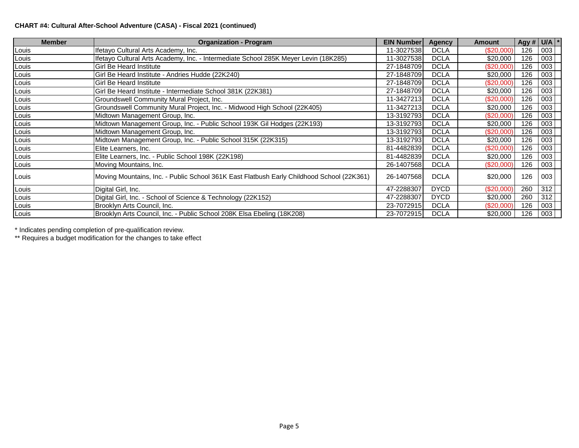### **CHART #4: Cultural After-School Adventure (CASA) - Fiscal 2021 (continued)**

| <b>Member</b> | <b>Organization - Program</b>                                                             | <b>EIN Number</b> | <b>Agency</b> | <b>Amount</b> | Agy # $U/A$ * |     |  |
|---------------|-------------------------------------------------------------------------------------------|-------------------|---------------|---------------|---------------|-----|--|
| Louis         | Ifetayo Cultural Arts Academy, Inc.                                                       | 11-3027538        | <b>DCLA</b>   | (\$20,000)    | 126           | 003 |  |
| Louis         | Ifetayo Cultural Arts Academy, Inc. - Intermediate School 285K Meyer Levin (18K285)       | 11-3027538        | <b>DCLA</b>   | \$20,000      | 126           | 003 |  |
| Louis         | <b>Girl Be Heard Institute</b>                                                            | 27-1848709        | <b>DCLA</b>   | (\$20,000)    | 126           | 003 |  |
| Louis         | Girl Be Heard Institute - Andries Hudde (22K240)                                          | 27-1848709        | <b>DCLA</b>   | \$20,000      | 126           | 003 |  |
| Louis         | <b>Girl Be Heard Institute</b>                                                            | 27-1848709        | <b>DCLA</b>   | (\$20,000)    | 126           | 003 |  |
| Louis         | Girl Be Heard Institute - Intermediate School 381K (22K381)                               | 27-1848709        | <b>DCLA</b>   | \$20,000      | 126           | 003 |  |
| Louis         | Groundswell Community Mural Project, Inc.                                                 | 11-3427213        | <b>DCLA</b>   | (\$20,000)    | 126           | 003 |  |
| Louis         | Groundswell Community Mural Project, Inc. - Midwood High School (22K405)                  | 11-3427213        | <b>DCLA</b>   | \$20,000      | 126           | 003 |  |
| Louis         | Midtown Management Group, Inc.                                                            | 13-3192793        | <b>DCLA</b>   | (\$20,000)    | 126           | 003 |  |
| Louis         | Midtown Management Group, Inc. - Public School 193K Gil Hodges (22K193)                   | 13-3192793        | <b>DCLA</b>   | \$20,000      | 126           | 003 |  |
| Louis         | Midtown Management Group, Inc.                                                            | 13-3192793        | <b>DCLA</b>   | (\$20,000)    | 126           | 003 |  |
| Louis         | Midtown Management Group, Inc. - Public School 315K (22K315)                              | 13-3192793        | <b>DCLA</b>   | \$20,000      | 126           | 003 |  |
| Louis         | Elite Learners, Inc.                                                                      | 81-4482839        | <b>DCLA</b>   | (\$20,000)    | 126           | 003 |  |
| Louis         | Elite Learners, Inc. - Public School 198K (22K198)                                        | 81-4482839        | <b>DCLA</b>   | \$20,000      | 126           | 003 |  |
| Louis         | Moving Mountains, Inc.                                                                    | 26-1407568        | <b>DCLA</b>   | (\$20,000)    | 126           | 003 |  |
| Louis         | Moving Mountains, Inc. - Public School 361K East Flatbush Early Childhood School (22K361) | 26-1407568        | <b>DCLA</b>   | \$20,000      | 126           | 003 |  |
| Louis         | Digital Girl, Inc.                                                                        | 47-2288307        | <b>DYCD</b>   | (\$20,000)    | 260           | 312 |  |
| Louis         | Digital Girl, Inc. - School of Science & Technology (22K152)                              | 47-2288307        | <b>DYCD</b>   | \$20,000      | 260           | 312 |  |
| Louis         | Brooklyn Arts Council, Inc.                                                               | 23-7072915        | <b>DCLA</b>   | $(\$20,000)$  | 126           | 003 |  |
| Louis         | Brooklyn Arts Council, Inc. - Public School 208K Elsa Ebeling (18K208)                    | 23-7072915        | <b>DCLA</b>   | \$20,000      | 126           | 003 |  |

\* Indicates pending completion of pre-qualification review.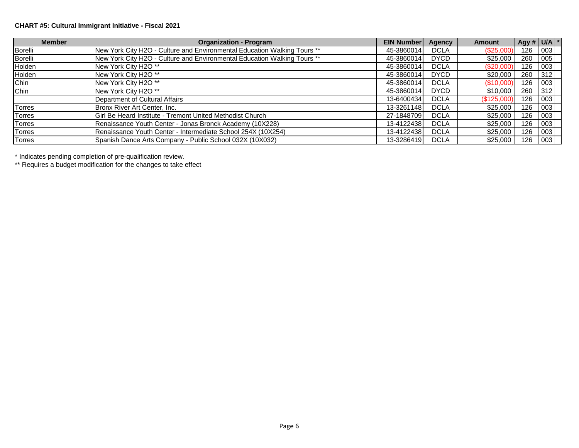### **CHART #5: Cultural Immigrant Initiative - Fiscal 2021**

| <b>Member</b>  | <b>Organization - Program</b>                                            | <b>EIN Number</b> | Agency      | <b>Amount</b> | Agy # $U/A$ * |     |  |
|----------------|--------------------------------------------------------------------------|-------------------|-------------|---------------|---------------|-----|--|
| Borelli        | New York City H2O - Culture and Environmental Education Walking Tours ** | 45-3860014        | <b>DCLA</b> | (\$25,000)    | 126           | 003 |  |
| <b>Borelli</b> | New York City H2O - Culture and Environmental Education Walking Tours ** | 45-3860014        | <b>DYCD</b> | \$25,000      | 260           | 005 |  |
| Holden         | New York City H2O **                                                     | 45-3860014        | <b>DCLA</b> | (\$20,000)    | 126           | 003 |  |
| Holden         | New York City H2O **                                                     | 45-3860014        | <b>DYCD</b> | \$20,000      | 260           | 312 |  |
| Chin           | New York City H2O **                                                     | 45-3860014        | <b>DCLA</b> | (S10,000)     | 126           | 003 |  |
| Chin           | New York City H2O **                                                     | 45-3860014        | <b>DYCD</b> | \$10,000      | 260           | 312 |  |
|                | Department of Cultural Affairs                                           | 13-6400434        | <b>DCLA</b> | (\$125,000)   | 126           | 003 |  |
| Torres         | Bronx River Art Center, Inc.                                             | 13-3261148        | <b>DCLA</b> | \$25,000      | 126           | 003 |  |
| <b>Torres</b>  | Girl Be Heard Institute - Tremont United Methodist Church                | 27-1848709        | <b>DCLA</b> | \$25,000      | 126           | 003 |  |
| <b>Torres</b>  | Renaissance Youth Center - Jonas Bronck Academy (10X228)                 | 13-4122438        | <b>DCLA</b> | \$25,000      | 126           | 003 |  |
| <b>Torres</b>  | Renaissance Youth Center - Intermediate School 254X (10X254)             | 13-4122438        | <b>DCLA</b> | \$25,000      | 126           | 003 |  |
| <b>Torres</b>  | Spanish Dance Arts Company - Public School 032X (10X032)                 | 13-3286419        | <b>DCLA</b> | \$25,000      | 126           | 003 |  |

\* Indicates pending completion of pre-qualification review.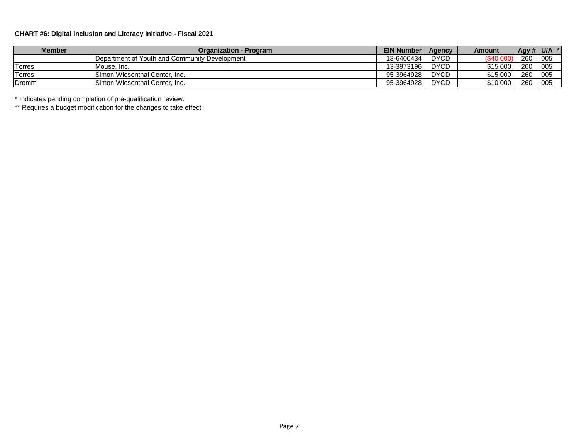### **CHART #6: Digital Inclusion and Literacy Initiative - Fiscal 2021**

| <b>Member</b> | Organization - Program                        | <b>EIN Number</b> | Agency      | Amount            | Agy # $U/A$ * |     |  |
|---------------|-----------------------------------------------|-------------------|-------------|-------------------|---------------|-----|--|
|               | Department of Youth and Community Development | 13-6400434        | <b>DYCD</b> | $($ \$40.0 $\cap$ | 260           | 005 |  |
| Torres        | Mouse, Inc.                                   | 13-3973196        | <b>DYCD</b> | \$15,000          | 260           | 005 |  |
| <b>Torres</b> | Simon Wiesenthal Center. Inc.                 | 95-3964928        | <b>DYCD</b> | \$15,000          | 260           | 005 |  |
| Dromm         | Simon Wiesenthal Center, Inc.                 | 95-3964928        | <b>DYCD</b> | \$10,000          | 260           | 005 |  |

\* Indicates pending completion of pre-qualification review.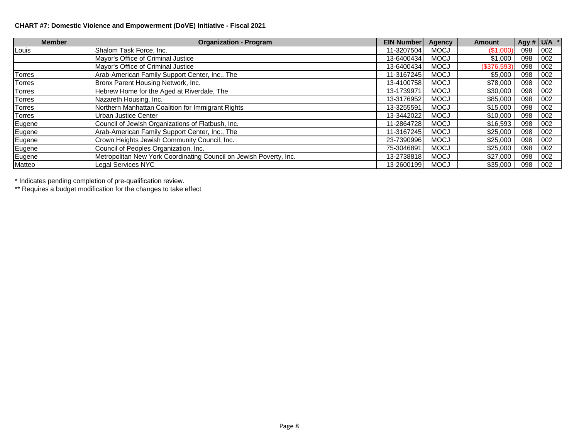### **CHART #7: Domestic Violence and Empowerment (DoVE) Initiative - Fiscal 2021**

| <b>Member</b> | <b>Organization - Program</b>                                      | <b>EIN Number</b> | Agency      | <b>Amount</b> | Agy # $U/A$ * |     |  |
|---------------|--------------------------------------------------------------------|-------------------|-------------|---------------|---------------|-----|--|
| Louis         | Shalom Task Force, Inc.                                            | 11-3207504        | <b>MOCJ</b> | (\$1,000)     | 098           | 002 |  |
|               | Mayor's Office of Criminal Justice                                 | 13-6400434        | <b>MOCJ</b> | \$1,000       | 098           | 002 |  |
|               | Mayor's Office of Criminal Justice                                 | 13-6400434        | <b>MOCJ</b> | (\$376,593)   | 098           | 002 |  |
| <b>Torres</b> | Arab-American Family Support Center, Inc., The                     | 11-3167245        | <b>MOCJ</b> | \$5,000       | 098           | 002 |  |
| <b>Torres</b> | Bronx Parent Housing Network, Inc.                                 | 13-4100758        | <b>MOCJ</b> | \$78,000      | 098           | 002 |  |
| <b>Torres</b> | Hebrew Home for the Aged at Riverdale, The                         | 13-1739971        | <b>MOCJ</b> | \$30,000      | 098           | 002 |  |
| <b>Torres</b> | Nazareth Housing, Inc.                                             | 13-3176952        | <b>MOCJ</b> | \$85,000      | 098           | 002 |  |
| <b>Torres</b> | Northern Manhattan Coalition for Immigrant Rights                  | 13-3255591        | <b>MOCJ</b> | \$15,000      | 098           | 002 |  |
| <b>Torres</b> | <b>Urban Justice Center</b>                                        | 13-3442022        | <b>MOCJ</b> | \$10,000      | 098           | 002 |  |
| Eugene        | Council of Jewish Organizations of Flatbush, Inc.                  | 11-2864728        | <b>MOCJ</b> | \$16,593      | 098           | 002 |  |
| Eugene        | Arab-American Family Support Center, Inc., The                     | 11-3167245        | <b>MOCJ</b> | \$25,000      | 098           | 002 |  |
| Eugene        | Crown Heights Jewish Community Council, Inc.                       | 23-7390996        | <b>MOCJ</b> | \$25,000      | 098           | 002 |  |
| Eugene        | Council of Peoples Organization, Inc.                              | 75-3046891        | <b>MOCJ</b> | \$25,000      | 098           | 002 |  |
| Eugene        | Metropolitan New York Coordinating Council on Jewish Poverty, Inc. | 13-2738818        | <b>MOCJ</b> | \$27,000      | 098           | 002 |  |
| Matteo        | Legal Services NYC                                                 | 13-2600199        | <b>MOCJ</b> | \$35,000      | 098           | 002 |  |

\* Indicates pending completion of pre-qualification review.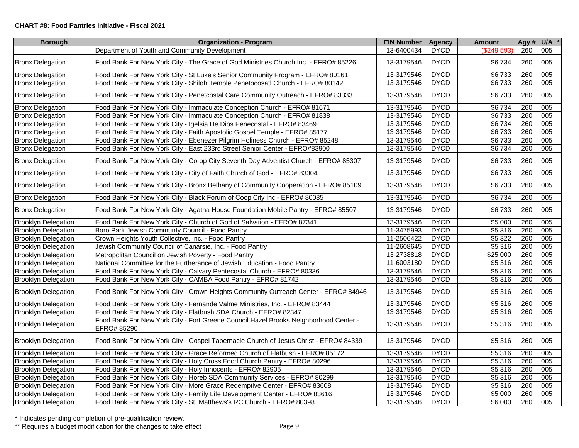#### **CHART #8: Food Pantries Initiative - Fiscal 2021**

| <b>Borough</b>             | <b>Organization - Program</b>                                                                       | <b>EIN Number</b> | <b>Agency</b> | <b>Amount</b> | Agy# | $U/A$ $*$ |  |
|----------------------------|-----------------------------------------------------------------------------------------------------|-------------------|---------------|---------------|------|-----------|--|
|                            | Department of Youth and Community Development                                                       | 13-6400434        | <b>DYCD</b>   | (\$249,593    | 260  | 005       |  |
| <b>Bronx Delegation</b>    | Food Bank For New York City - The Grace of God Ministries Church Inc. - EFRO# 85226                 | 13-3179546        | <b>DYCD</b>   | \$6,734       | 260  | 005       |  |
| <b>Bronx Delegation</b>    | Food Bank For New York City - St Luke's Senior Community Program - EFRO# 80161                      | 13-3179546        | <b>DYCD</b>   | \$6,733       | 260  | 005       |  |
| <b>Bronx Delegation</b>    | Food Bank For New York City - Shiloh Temple Penetocosatl Church - EFRO# 80142                       | 13-3179546        | <b>DYCD</b>   | \$6,733       | 260  | 005       |  |
| <b>Bronx Delegation</b>    | Food Bank For New York City - Penetcostal Care Community Outreach - EFRO# 83333                     | 13-3179546        | <b>DYCD</b>   | \$6,733       | 260  | 005       |  |
| <b>Bronx Delegation</b>    | Food Bank For New York City - Immaculate Conception Church - EFRO# 81671                            | 13-3179546        | <b>DYCD</b>   | \$6,734       | 260  | 005       |  |
| <b>Bronx Delegation</b>    | Food Bank For New York City - Immaculate Conception Church - EFRO# 81838                            | 13-3179546        | <b>DYCD</b>   | \$6,733       | 260  | 005       |  |
| <b>Bronx Delegation</b>    | Food Bank For New York City - Igelsia De Dios Penecostal - EFRO# 83469                              | 13-3179546        | <b>DYCD</b>   | \$6,734       | 260  | 005       |  |
| <b>Bronx Delegation</b>    | Food Bank For New York City - Faith Apostolic Gospel Temple - EFRO# 85177                           | 13-3179546        | <b>DYCD</b>   | \$6,733       | 260  | 005       |  |
| <b>Bronx Delegation</b>    | Food Bank For New York City - Ebenezer Pilgrim Holiness Church - EFRO# 85248                        | 13-3179546        | <b>DYCD</b>   | \$6,733       | 260  | 005       |  |
| <b>Bronx Delegation</b>    | Food Bank For New York City - East 233rd Street Senior Center - EFRO#83900                          | 13-3179546        | <b>DYCD</b>   | \$6,734       | 260  | 005       |  |
| <b>Bronx Delegation</b>    | Food Bank For New York City - Co-op City Seventh Day Adventist Church - EFRO# 85307                 | 13-3179546        | <b>DYCD</b>   | \$6,733       | 260  | 005       |  |
| <b>Bronx Delegation</b>    | Food Bank For New York City - City of Faith Church of God - EFRO# 83304                             | 13-3179546        | <b>DYCD</b>   | \$6,733       | 260  | 005       |  |
| <b>Bronx Delegation</b>    | Food Bank For New York City - Bronx Bethany of Community Cooperation - EFRO# 85109                  | 13-3179546        | <b>DYCD</b>   | \$6,733       | 260  | 005       |  |
| <b>Bronx Delegation</b>    | Food Bank For New York City - Black Forum of Coop City Inc - EFRO# 80085                            | 13-3179546        | <b>DYCD</b>   | \$6,734       | 260  | 005       |  |
| <b>Bronx Delegation</b>    | Food Bank For New York City - Agatha House Foundation Mobile Pantry - EFRO# 85507                   | 13-3179546        | <b>DYCD</b>   | \$6,733       | 260  | 005       |  |
| <b>Brooklyn Delegation</b> | Food Bank For New York City - Church of God of Salvation - EFRO# 87341                              | 13-3179546        | <b>DYCD</b>   | \$5,000       | 260  | 005       |  |
| <b>Brooklyn Delegation</b> | Boro Park Jewish Communty Council - Food Pantry                                                     | 11-3475993        | <b>DYCD</b>   | \$5,316       | 260  | 005       |  |
| <b>Brooklyn Delegation</b> | Crown Heights Youth Collective, Inc. - Food Pantry                                                  | 11-2506422        | <b>DYCD</b>   | \$5,322       | 260  | 005       |  |
| <b>Brooklyn Delegation</b> | Jewish Community Council of Canarsie, Inc. - Food Pantry                                            | 11-2608645        | <b>DYCD</b>   | \$5,316       | 260  | 005       |  |
| <b>Brooklyn Delegation</b> | Metropolitan Council on Jewish Poverty - Food Pantry                                                | 13-2738818        | <b>DYCD</b>   | \$25,000      | 260  | 005       |  |
| <b>Brooklyn Delegation</b> | National Committee for the Furtherance of Jewish Education - Food Pantry                            | 11-6003180        | <b>DYCD</b>   | \$5,316       | 260  | 005       |  |
| <b>Brooklyn Delegation</b> | Food Bank For New York City - Calvary Pentecostal Church - EFRO# 80336                              | 13-3179546        | <b>DYCD</b>   | \$5,316       | 260  | 005       |  |
| <b>Brooklyn Delegation</b> | Food Bank For New York City - CAMBA Food Pantry - EFRO# 81742                                       | 13-3179546        | <b>DYCD</b>   | \$5,316       | 260  | 005       |  |
| <b>Brooklyn Delegation</b> | Food Bank For New York City - Crown Heights Community Outreach Center - EFRO# 84946                 | 13-3179546        | <b>DYCD</b>   | \$5,316       | 260  | 005       |  |
| <b>Brooklyn Delegation</b> | Food Bank For New York City - Fernande Valme Ministries, Inc. - EFRO# 83444                         | 13-3179546        | <b>DYCD</b>   | \$5,316       | 260  | 005       |  |
| <b>Brooklyn Delegation</b> | Food Bank For New York City - Flatbush SDA Church - EFRO# 82347                                     | 13-3179546        | <b>DYCD</b>   | \$5,316       | 260  | 005       |  |
| <b>Brooklyn Delegation</b> | Food Bank For New York City - Fort Greene Council Hazel Brooks Neighborhood Center -<br>EFRO# 85290 | 13-3179546        | <b>DYCD</b>   | \$5,316       | 260  | 005       |  |
| <b>Brooklyn Delegation</b> | Food Bank For New York City - Gospel Tabernacle Church of Jesus Christ - EFRO# 84339                | 13-3179546        | <b>DYCD</b>   | \$5,316       | 260  | 005       |  |
| <b>Brooklyn Delegation</b> | Food Bank For New York City - Grace Reformed Church of Flatbush - EFRO# 85172                       | 13-3179546        | <b>DYCD</b>   | \$5,316       | 260  | 005       |  |
| <b>Brooklyn Delegation</b> | Food Bank For New York City - Holy Cross Food Church Pantry - EFRO# 80296                           | 13-3179546        | <b>DYCD</b>   | \$5,316       | 260  | 005       |  |
| <b>Brooklyn Delegation</b> | Food Bank For New York City - Holy Innocents - EFRO# 82905                                          | 13-3179546        | <b>DYCD</b>   | \$5,316       | 260  | 005       |  |
| <b>Brooklyn Delegation</b> | Food Bank For New York City - Horeb SDA Community Services - EFRO# 80299                            | 13-3179546        | <b>DYCD</b>   | \$5,316       | 260  | 005       |  |
| <b>Brooklyn Delegation</b> | Food Bank For New York City - More Grace Redemptive Center - EFRO# 83608                            | 13-3179546        | <b>DYCD</b>   | \$5,316       | 260  | 005       |  |
| <b>Brooklyn Delegation</b> | Food Bank For New York City - Family Life Development Center - EFRO# 83616                          | 13-3179546        | <b>DYCD</b>   | \$5,000       | 260  | 005       |  |
| <b>Brooklyn Delegation</b> | Food Bank For New York City - St. Matthews's RC Church - EFRO# 80398                                | 13-3179546        | <b>DYCD</b>   | \$6,000       | 260  | 005       |  |

\* Indicates pending completion of pre-qualification review.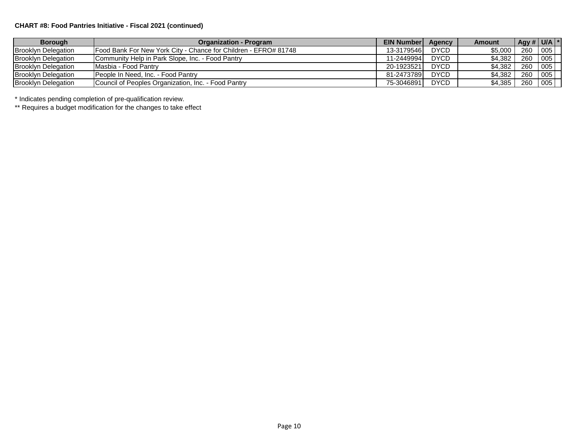### **CHART #8: Food Pantries Initiative - Fiscal 2021 (continued)**

| <b>Borough</b>             | <b>Organization - Program</b>                                           | <b>EIN Number</b> | Agency      | Amount  | Agy # $ $ U/A $ $ <sup>*</sup> |     |
|----------------------------|-------------------------------------------------------------------------|-------------------|-------------|---------|--------------------------------|-----|
| <b>Brooklyn Delegation</b> | <b>IFood Bank For New York City - Chance for Children - EFRO# 81748</b> | 13-3179546        | <b>DYCD</b> | \$5,000 | 260                            | 005 |
| <b>Brooklyn Delegation</b> | Community Help in Park Slope, Inc. - Food Pantry                        | 11-2449994        | <b>DYCD</b> | \$4.382 | 260                            | 005 |
| <b>Brooklyn Delegation</b> | Masbia - Food Pantry                                                    | 20-1923521        | <b>DYCD</b> | \$4.382 | 260                            | 005 |
| <b>Brooklyn Delegation</b> | <b>IPeople In Need. Inc. - Food Pantry</b>                              | 81-2473789        | <b>DYCD</b> | \$4,382 | 260                            | 005 |
| <b>Brooklyn Delegation</b> | Council of Peoples Organization, Inc. - Food Pantry                     | 75-3046891        | <b>DYCD</b> | \$4,385 | 260                            | 005 |

\* Indicates pending completion of pre-qualification review.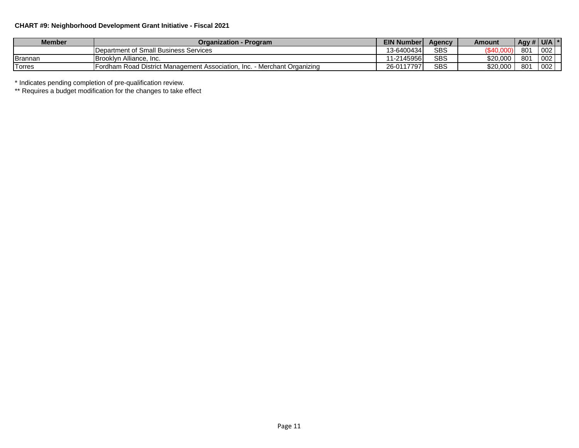### **CHART #9: Neighborhood Development Grant Initiative - Fiscal 2021**

| <b>Member</b> | Organization - Program                                                           | <b>EIN Number</b> | Agency     | Amount      | $\overline{AB}$ Agy # $\overline{U/A}$ $\overline{Y}$ |     |
|---------------|----------------------------------------------------------------------------------|-------------------|------------|-------------|-------------------------------------------------------|-----|
|               | Department of Small Business Services                                            | 13-6400434        | <b>SBS</b> | <b>C</b> 40 | 801                                                   | 002 |
| Brannan       | <b>IBrooklyn Alliance.</b><br>∴Inc.                                              | 11-2145956        | <b>SBS</b> | \$20,000    | 801                                                   | 002 |
| <b>Torres</b> | <b>IFordham Road District Management Association, Inc. - Merchant Organizing</b> | 26-0117797        | <b>SBS</b> | \$20,000    | 801                                                   | 002 |

\* Indicates pending completion of pre-qualification review.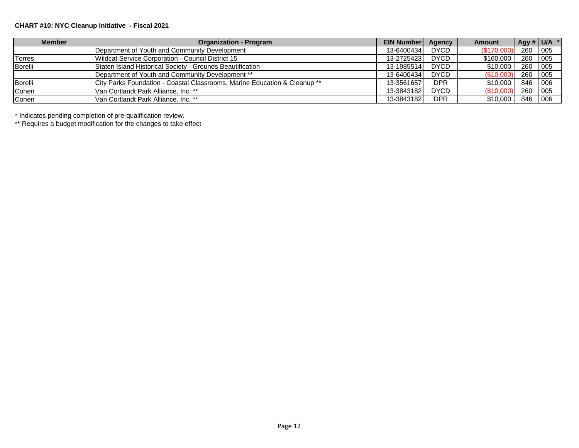### **CHART #10: NYC Cleanup Initiative - Fiscal 2021**

| <b>Member</b> | <b>Organization - Program</b>                                                        | <b>EIN Number</b> | Agency      | Amount     | $\left  \right $ Agy # U/A $\left  \right $ * |         |  |
|---------------|--------------------------------------------------------------------------------------|-------------------|-------------|------------|-----------------------------------------------|---------|--|
|               | Department of Youth and Community Development                                        | 13-6400434        | <b>DYCD</b> | (\$170,000 |                                               | 260 005 |  |
| Torres        | Wildcat Service Corporation - Council District 15                                    | 13-2725423        | <b>DYCD</b> | \$160,000  |                                               | 260 005 |  |
| Borelli       | Staten Island Historical Society - Grounds Beautification                            | 13-1985514        | <b>DYCD</b> | \$10,000   |                                               | 260 005 |  |
|               | Department of Youth and Community Development **                                     | 13-6400434        | <b>DYCD</b> | (\$10,000  | 260                                           | 005     |  |
| Borelli       | <b>City Parks Foundation - Coastal Classrooms, Marine Education &amp; Cleanup **</b> | 13-3561657        | <b>DPR</b>  | \$10,000   | 846                                           | 006     |  |
| Cohen         | <b>Van Cortlandt Park Alliance, Inc. **</b>                                          | 13-3843182        | <b>DYCD</b> | \$10,000   | 260                                           | 1005    |  |
| Cohen         | Van Cortlandt Park Alliance, Inc. **                                                 | 13-3843182        | <b>DPR</b>  | \$10,000   | 846                                           | 006     |  |

\* Indicates pending completion of pre-qualification review.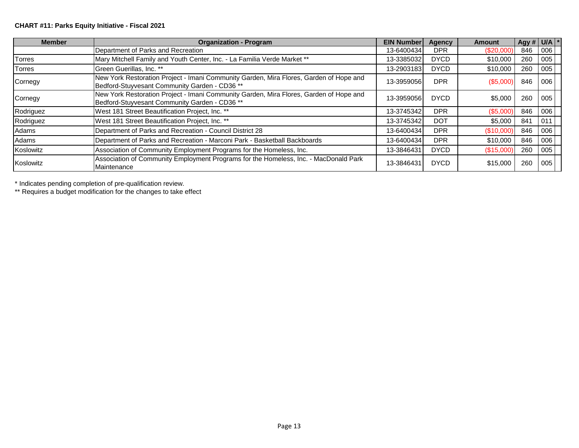## **CHART #11: Parks Equity Initiative - Fiscal 2021**

| <b>Member</b> | <b>Organization - Program</b>                                                                                                           | <b>EIN Number</b> | Agency      | <b>Amount</b> | Agy # $U/A$ <sup>*</sup> |     |  |
|---------------|-----------------------------------------------------------------------------------------------------------------------------------------|-------------------|-------------|---------------|--------------------------|-----|--|
|               | Department of Parks and Recreation                                                                                                      | 13-6400434        | <b>DPR</b>  | (\$20,000)    | 846                      | 006 |  |
| <b>Torres</b> | Mary Mitchell Family and Youth Center, Inc. - La Familia Verde Market **                                                                | 13-3385032        | <b>DYCD</b> | \$10,000      | 260                      | 005 |  |
| <b>Torres</b> | Green Guerillas, Inc. **                                                                                                                | 13-2903183        | <b>DYCD</b> | \$10,000      | 260                      | 005 |  |
| Cornegy       | New York Restoration Project - Imani Community Garden, Mira Flores, Garden of Hope and<br>Bedford-Stuyvesant Community Garden - CD36 ** | 13-3959056        | <b>DPR</b>  | (\$5,000)     | 846                      | 006 |  |
| Cornegy       | New York Restoration Project - Imani Community Garden, Mira Flores, Garden of Hope and<br>Bedford-Stuyvesant Community Garden - CD36 ** | 13-3959056        | <b>DYCD</b> | \$5,000       | 260                      | 005 |  |
| Rodriguez     | West 181 Street Beautification Project, Inc. **                                                                                         | 13-3745342        | <b>DPR</b>  | (\$5,000)     | 846                      | 006 |  |
| Rodriguez     | West 181 Street Beautification Project, Inc. **                                                                                         | 13-3745342        | <b>DOT</b>  | \$5,000       | 841                      | 011 |  |
| Adams         | Department of Parks and Recreation - Council District 28                                                                                | 13-6400434        | <b>DPR</b>  | (\$10,000)    | 846                      | 006 |  |
| Adams         | Department of Parks and Recreation - Marconi Park - Basketball Backboards                                                               | 13-6400434        | <b>DPR</b>  | \$10,000      | 846                      | 006 |  |
| Koslowitz     | Association of Community Employment Programs for the Homeless, Inc.                                                                     | 13-3846431        | <b>DYCD</b> | (\$15,000)    | 260                      | 005 |  |
| Koslowitz     | Association of Community Employment Programs for the Homeless, Inc. - MacDonald Park<br>Maintenance                                     | 13-3846431        | <b>DYCD</b> | \$15,000      | 260                      | 005 |  |

\* Indicates pending completion of pre-qualification review.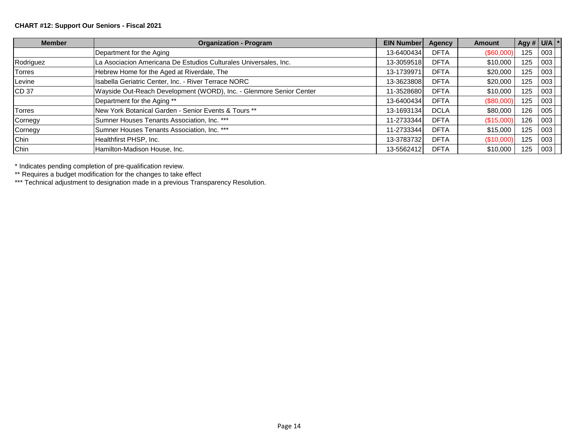### **CHART #12: Support Our Seniors - Fiscal 2021**

| <b>Member</b>    | <b>Organization - Program</b>                                       | <b>EIN Number</b> | <b>Agency</b> | <b>Amount</b> | Agy # $U/A$ * |     |  |
|------------------|---------------------------------------------------------------------|-------------------|---------------|---------------|---------------|-----|--|
|                  | Department for the Aging                                            | 13-6400434        | <b>DFTA</b>   | $(\$60,000)$  | 125           | 003 |  |
| Rodriguez        | La Asociacion Americana De Estudios Culturales Universales, Inc.    | 13-3059518        | <b>DFTA</b>   | \$10,000      | 125           | 003 |  |
| <b>Torres</b>    | Hebrew Home for the Aged at Riverdale, The                          | 13-1739971        | <b>DFTA</b>   | \$20,000      | 125           | 003 |  |
| Levine           | Isabella Geriatric Center, Inc. - River Terrace NORC                | 13-3623808        | <b>DFTA</b>   | \$20,000      | 125           | 003 |  |
| CD <sub>37</sub> | Wayside Out-Reach Development (WORD), Inc. - Glenmore Senior Center | 11-3528680        | <b>DFTA</b>   | \$10,000      | 125           | 003 |  |
|                  | Department for the Aging **                                         | 13-6400434        | <b>DFTA</b>   | (\$80,000     | 125           | 003 |  |
| Torres           | New York Botanical Garden - Senior Events & Tours **                | 13-1693134        | <b>DCLA</b>   | \$80,000      | 126           | 005 |  |
| Cornegy          | Sumner Houses Tenants Association, Inc. ***                         | 11-2733344        | <b>DFTA</b>   | (\$15,000     | 126           | 003 |  |
| Cornegy          | Sumner Houses Tenants Association, Inc. ***                         | 11-2733344        | <b>DFTA</b>   | \$15,000      | 125           | 003 |  |
| Chin             | Healthfirst PHSP, Inc.                                              | 13-3783732        | <b>DFTA</b>   | (\$10,000     | 125           | 003 |  |
| Chin             | Hamilton-Madison House, Inc.                                        | 13-5562412        | <b>DFTA</b>   | \$10,000      | 125           | 003 |  |

\* Indicates pending completion of pre-qualification review.

\*\* Requires a budget modification for the changes to take effect

\*\*\* Technical adjustment to designation made in a previous Transparency Resolution.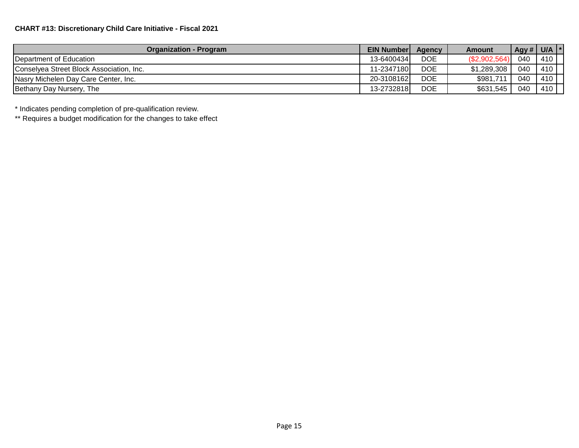| <b>Organization - Program</b>            | <b>EIN Number</b> | Agency     | Amount       | Agy # $\vert$ | U/A $ ^{\ast}$ |  |
|------------------------------------------|-------------------|------------|--------------|---------------|----------------|--|
| <b>IDepartment of Education</b>          | 13-6400434        | <b>DOE</b> | (\$2,902,564 | 040           | 410            |  |
| Conselyea Street Block Association, Inc. | 11-2347180        | <b>DOE</b> | \$1,289,308  | 040           | 410            |  |
| Nasry Michelen Day Care Center, Inc.     | 20-3108162        | <b>DOE</b> | \$981,711    | 040           | 410            |  |
| Bethany Day Nursery, The                 | 13-2732818        | <b>DOE</b> | \$631,545    | 040           | 410            |  |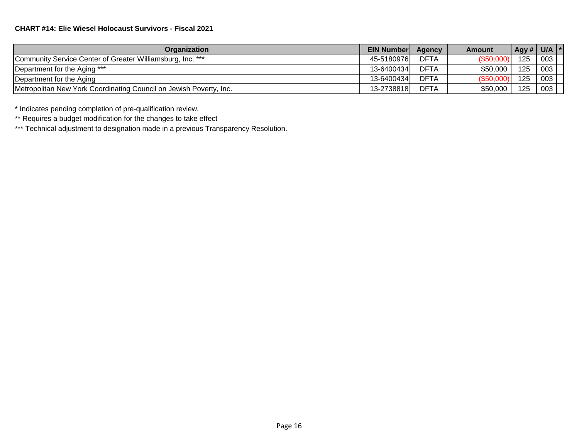| Organization                                                       | <b>EIN Number</b> | Agency      | <b>Amount</b> | Agy # $ $ U/A |     |  |
|--------------------------------------------------------------------|-------------------|-------------|---------------|---------------|-----|--|
| Community Service Center of Greater Williamsburg, Inc. ***         | 45-51809761       | <b>DFTA</b> | (S50.000)     | 125           | 003 |  |
| Department for the Aging ***                                       | 13-6400434        | <b>DFTA</b> | \$50,000      | 125           | 003 |  |
| Department for the Aging                                           | 13-6400434        | <b>DFTA</b> | $($ \$50,000) | 125           | 003 |  |
| Metropolitan New York Coordinating Council on Jewish Poverty, Inc. | 13-2738818        | <b>DFTA</b> | \$50,000      | 125           | 003 |  |

\*\* Requires a budget modification for the changes to take effect

\*\*\* Technical adjustment to designation made in a previous Transparency Resolution.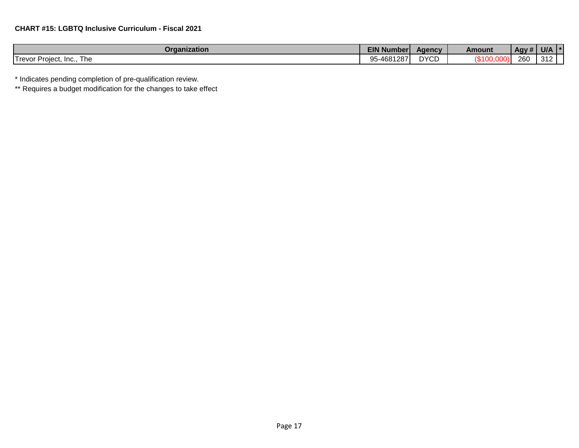| Organization                        | <b>EIN Number</b>     | Aqency      | Amount | .<br>$\overline{Agy#F}$ | U/A |  |
|-------------------------------------|-----------------------|-------------|--------|-------------------------|-----|--|
| I revor<br>Proiect<br>Inc.,<br>l he | 5-4681287<br>nε<br>◡◡ | <b>DYCD</b> |        | 260                     | 312 |  |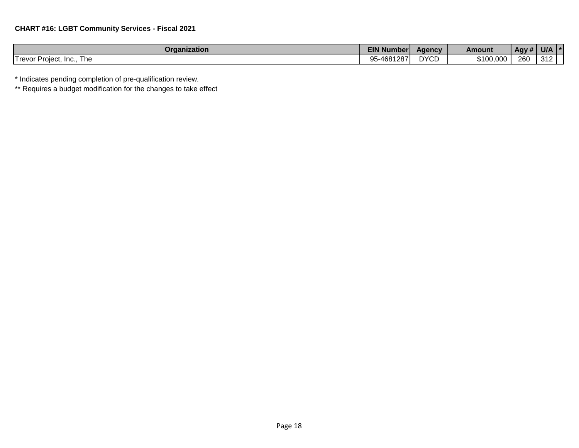| Organization                         | <b>EIN Number</b>                | <b>Agency</b> | Amount    | Agy# | U/A |  |
|--------------------------------------|----------------------------------|---------------|-----------|------|-----|--|
| Trevor l<br>Proiect<br>Inc.,<br>l he | -4681287<br>--<br>$10 - 1$<br>ັບ | <b>DYCD</b>   | \$100,000 | 260  | 312 |  |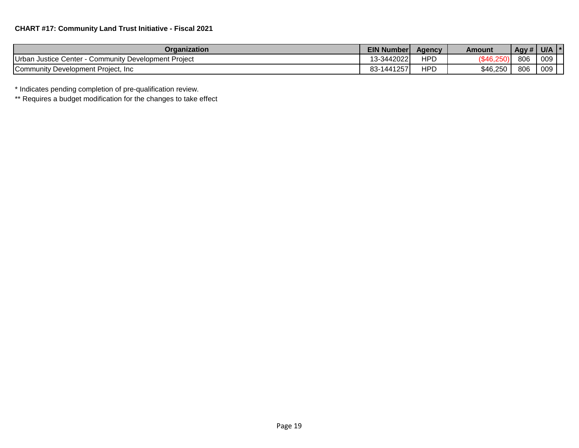| Organization                                            | <b>EIN Number</b> | Agency | Amount   | Agy # | <b>U/A</b> |  |
|---------------------------------------------------------|-------------------|--------|----------|-------|------------|--|
| Urban Justice Center -<br>Community Development Project | 13-3442022        | HPD    | '\$46.25 | 806   | 009        |  |
| Community Development Project, Inc.                     | 83-1441257        | HPC    | \$46,250 | 806   | 009        |  |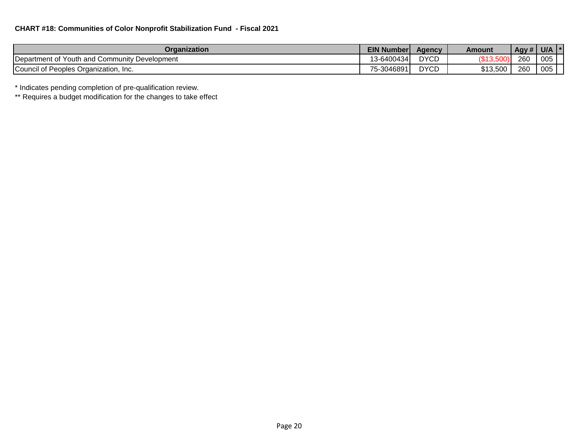| Organization                                          | <b>EIN Number</b> | <b>Agency</b> | Amount   | $\overline{$ Agy # | U/A |
|-------------------------------------------------------|-------------------|---------------|----------|--------------------|-----|
| <b>IDepartment of Youth and Community Development</b> | 3-6400434         | <b>DYCD</b>   | יט.טונט  | 260                | 005 |
| Council of Peoples Organization, Inc.                 | 75-3046891        | <b>DYCD</b>   | \$13,500 | 260                | 005 |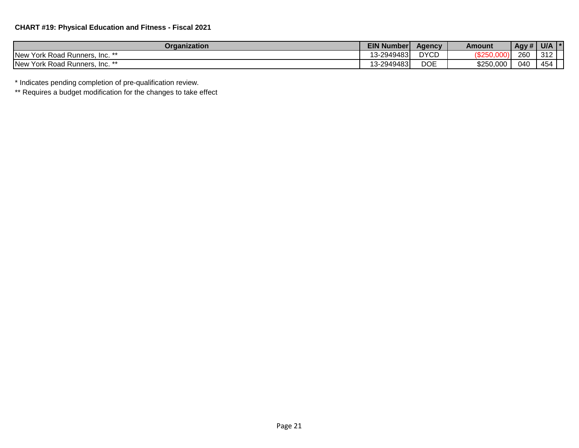## **CHART #19: Physical Education and Fitness - Fiscal 2021**

| Organization                                  | EIN N<br><b>J Number!</b> | Agency      | Amount    | Agy # | <b>U/A</b> | $\mathbf{r}$ |
|-----------------------------------------------|---------------------------|-------------|-----------|-------|------------|--------------|
| <b>New</b><br>York Road Runners,<br>$Inc.$ ** | 13-2949483                | <b>DYCD</b> | ばつにい      | 260   | 312        |              |
| <b>New</b><br>York Road Runners,<br>$Inc.$ ** | 13-2949483                | <b>DOE</b>  | \$250,000 | 040   | 454        |              |

\* Indicates pending completion of pre-qualification review.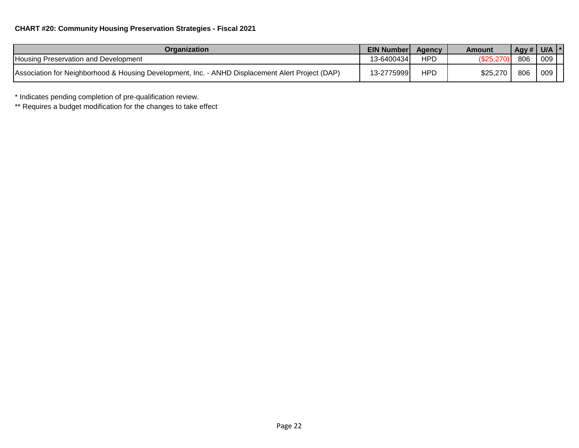| Organization                                                                                     | <b>EIN Number</b> | Agency     | Amount    | Agy # $ $ U/A $ $ * |     |  |
|--------------------------------------------------------------------------------------------------|-------------------|------------|-----------|---------------------|-----|--|
| Housing Preservation and Development                                                             | 13-64004341       | <b>HPD</b> | (\$25,270 | 806                 | 009 |  |
| Association for Neighborhood & Housing Development, Inc. - ANHD Displacement Alert Project (DAP) | 13-27759991       | <b>HPD</b> | \$25,270  | 806                 | 009 |  |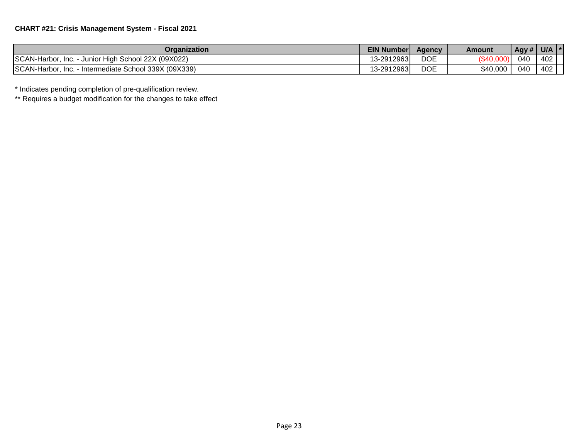| Organization                                                | <b>EIN Numberl</b> | <b>Agency</b> | Amount   | Agy # $ $ | U/A |  |
|-------------------------------------------------------------|--------------------|---------------|----------|-----------|-----|--|
| SCAN-Harbor,<br>- Junior High School 22X (09X022)<br>Inc.   | 13-2912963         | <b>DOE</b>    |          | 040       | 402 |  |
| SCAN-Harbor,<br>- Intermediate School 339X (09X339)<br>Inc. | 13-2912963         | <b>DOE</b>    | \$40,000 | 040       | 402 |  |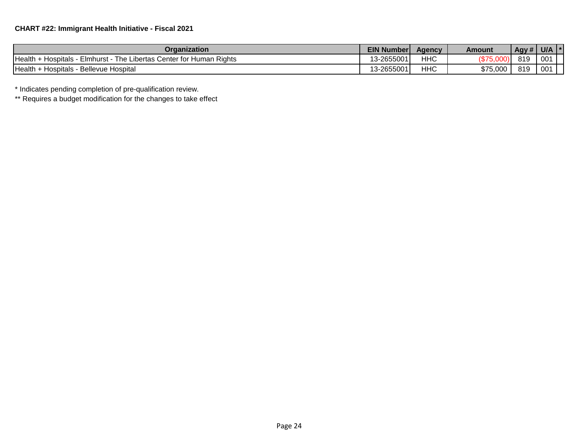| Organization                                                                     | <b>EIN Number</b> | Agency | Amount   | Agy # | U/A |  |
|----------------------------------------------------------------------------------|-------------------|--------|----------|-------|-----|--|
| Health<br>ı Riahts<br>Elmhurst - The I<br>Libertas Center for Human<br>Hospitals | 13-2655001        | чнс    |          | 819   | 001 |  |
| Health<br>Hospitals - Bellevue Hospital                                          | 13-2655001        | ЧНС    | \$75,000 | 819   | 001 |  |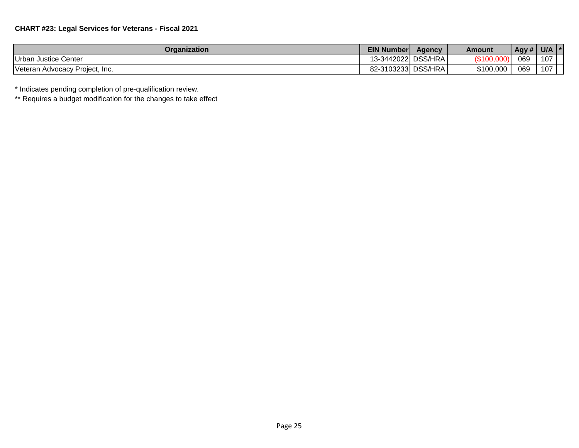| Organization                   | <b>EIN Number</b>   | <b>Agency</b> | Amount    | Agy # | <b>U/A</b> |  |
|--------------------------------|---------------------|---------------|-----------|-------|------------|--|
| Urban Justice Center           | 13-3442022  DSS/HRA |               | /⊄1∩۱     | 069   | 107        |  |
| Veteran Advocacy Project, Inc. | 82-3103233 DSS/HRA  |               | \$100,000 | 069   | 107        |  |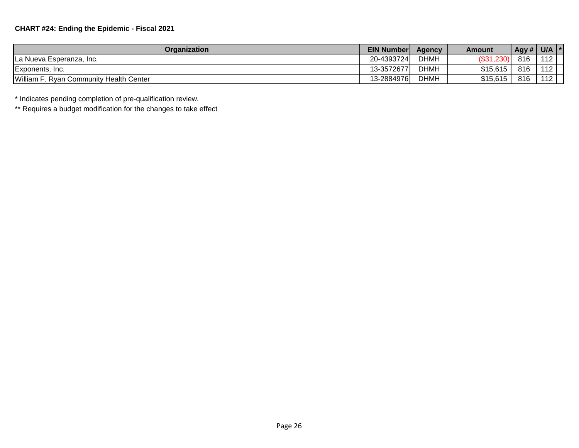| Organization                            | <b>EIN Number</b> | Agency      | Amount        | Agy # | U/A |  |
|-----------------------------------------|-------------------|-------------|---------------|-------|-----|--|
| La Nueva Esperanza, Inc.                | 20-4393724        | <b>DHMH</b> | $($ \$31,230) | 816   | 112 |  |
| Exponents, Inc.                         | 13-3572677        | <b>DHMH</b> | \$15,615      | 816   | 112 |  |
| William F. Ryan Community Health Center | 13-2884976        | <b>DHMH</b> | \$15,615      | 816   | 112 |  |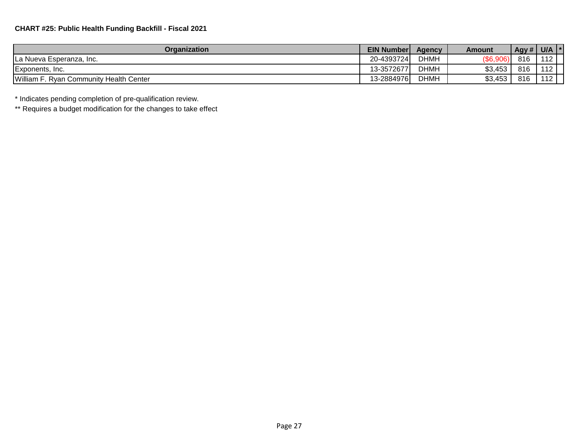| Organization                            | <b>EIN Numberl</b> | <b>Agency</b> | Amount   | Agy# | <b>U/A</b> |  |
|-----------------------------------------|--------------------|---------------|----------|------|------------|--|
| La Nueva Esperanza, Inc.                | 20-4393724         | <b>DHMH</b>   | (\$6,906 | 816  | 112        |  |
| Exponents, Inc.                         | 13-3572677         | <b>DHMH</b>   | \$3,453  | 816  | 112        |  |
| William F. Ryan Community Health Center | 13-2884976         | <b>DHMH</b>   | \$3,453  | 816  | 110        |  |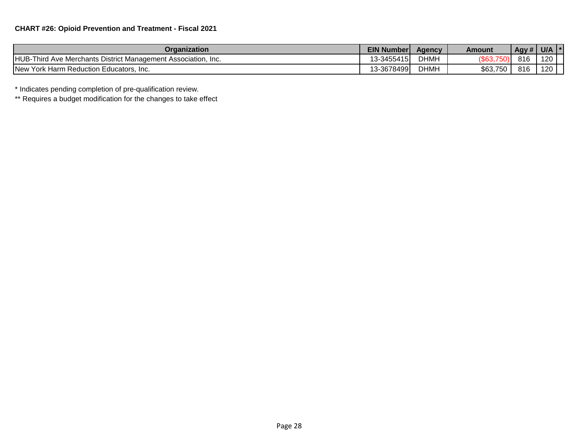| Organization                                                      | <b>EIN Number</b> | <b>Agency</b> | Amount   | Agy# | U/A |  |
|-------------------------------------------------------------------|-------------------|---------------|----------|------|-----|--|
| HUB-Third Ave Merchants District Management Association,<br>-Inc. | 13-3455415        | <b>DHMH</b>   | \$63,    | 816  | 120 |  |
| New York Harm Reduction Educators, Inc.                           | 13-36784991       | <b>DHMH</b>   | \$63,750 | 816  | 120 |  |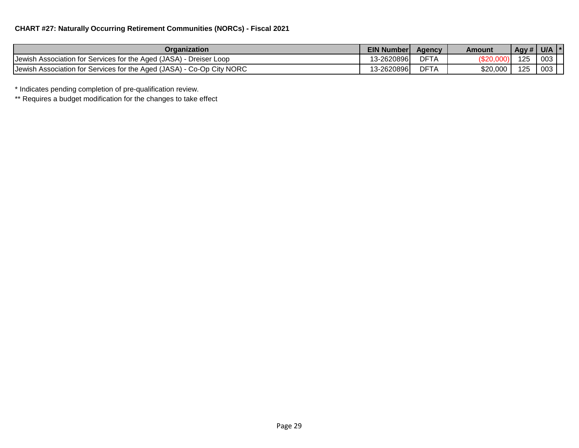## **CHART #27: Naturally Occurring Retirement Communities (NORCs) - Fiscal 2021**

| Organization                                                          |             | <b>EIN Number</b><br><b>Agency</b> | Amount   | Agy#V | U/A |  |
|-----------------------------------------------------------------------|-------------|------------------------------------|----------|-------|-----|--|
| Jewish Association for Services for the Aged (JASA) - Dreiser Loop    | 13-26208961 | DFT,                               |          | 125   | 003 |  |
| Jewish Association for Services for the Aged (JASA) - Co-Op City NORC | 13-2620896  | DFT.                               | \$20,000 | 125   | 003 |  |

\* Indicates pending completion of pre-qualification review.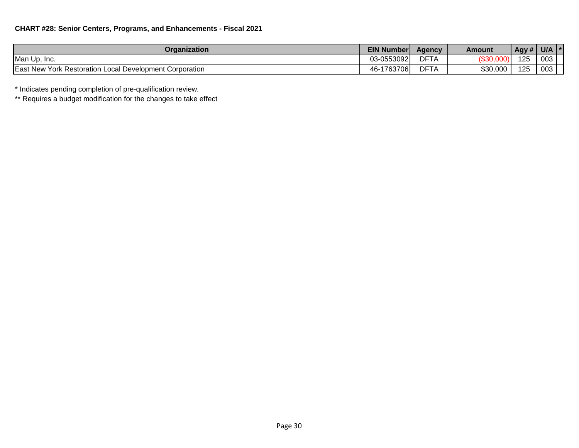| Organization                                                        | <b>EIN Number</b> | <b>Agency</b> | Amount   | $\overline{Agy#}$ | U/A |  |
|---------------------------------------------------------------------|-------------------|---------------|----------|-------------------|-----|--|
| Man Up, Inc.                                                        | 03-0553092        | DFT/          |          | 125               | 003 |  |
| <b>East New York Restoration</b><br>n Local Development Corporation | 1763706<br>46-′   | DFT/          | \$30,000 | 125               | 003 |  |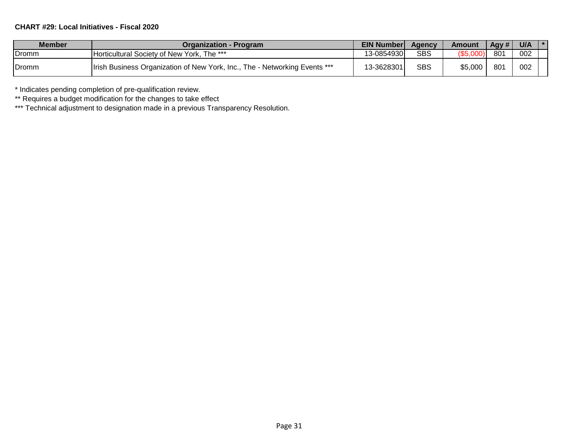## **CHART #29: Local Initiatives - Fiscal 2020**

| <b>Member</b> | <b>Organization - Program</b>                                                      | <b>EIN Number</b> | Agency     | <b>Amount</b> | Agy # | U/A |  |
|---------------|------------------------------------------------------------------------------------|-------------------|------------|---------------|-------|-----|--|
| .Dromm        | <b>Horticultural Society of New York, The ***</b>                                  | 13-0854930        | <b>SBS</b> |               | 801   | 002 |  |
| .Dromm        | <b>Ilrish Business Organization of New York, Inc., The - Networking Events ***</b> | 13-3628301)       | SBS        | \$5,000       | 801   | 002 |  |

\* Indicates pending completion of pre-qualification review.

\*\* Requires a budget modification for the changes to take effect

\*\*\* Technical adjustment to designation made in a previous Transparency Resolution.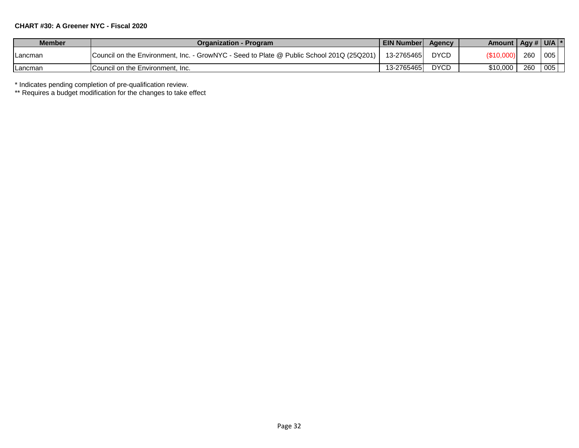#### **CHART #30: A Greener NYC - Fiscal 2020**

| <b>Member</b> | <b>Organization - Program</b>                                                            | <b>EIN Number</b> | <b>Agency</b> | Amount   Agy #   U/A  * |     |     |  |
|---------------|------------------------------------------------------------------------------------------|-------------------|---------------|-------------------------|-----|-----|--|
| Lancman       | Council on the Environment, Inc. - GrowNYC - Seed to Plate @ Public School 201Q (25Q201) | 13-2765465        | <b>DYCD</b>   | (\$10,000               | 260 | 005 |  |
| Lancman       | <b>ICouncil on the Environment. Inc.</b>                                                 | 13-2765465        | <b>DYCD</b>   | \$10,000                | 260 | 005 |  |

\* Indicates pending completion of pre-qualification review.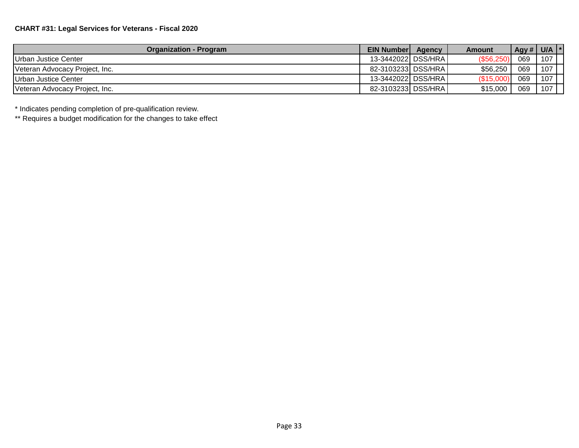| <b>Organization - Program</b>  | <b>EIN Numberl</b>   | Agency | Amount     | Agy # $\vert$ | U/A |  |
|--------------------------------|----------------------|--------|------------|---------------|-----|--|
| Urban Justice Center           | 13-3442022 DSS/HRA   |        | (S56.250)  | 069           | 107 |  |
| Veteran Advocacy Project, Inc. | 82-3103233 DSS/HRA   |        | \$56,250   | 069           | 107 |  |
| Urban Justice Center           | 13-3442022 DSS/HRA I |        | (\$15,000, | 069           | 107 |  |
| Veteran Advocacy Project, Inc. | 82-3103233 DSS/HRA   |        | \$15,000   | 069           | 107 |  |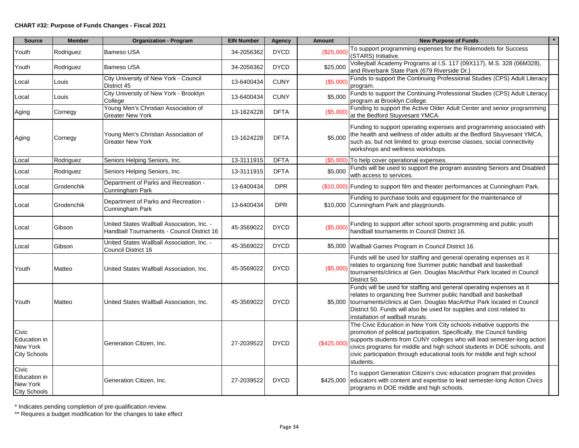#### **CHART #32: Purpose of Funds Changes - Fiscal 2021**

| <b>Source</b>                                            | <b>Member</b> | <b>Organization - Program</b>                                                            | <b>EIN Number</b> | Agency      | <b>Amount</b> | <b>New Purpose of Funds</b>                                                                                                                                                                                                                                                                                                                                                                    |
|----------------------------------------------------------|---------------|------------------------------------------------------------------------------------------|-------------------|-------------|---------------|------------------------------------------------------------------------------------------------------------------------------------------------------------------------------------------------------------------------------------------------------------------------------------------------------------------------------------------------------------------------------------------------|
| Youth                                                    | Rodriguez     | Bameso USA                                                                               | 34-2056362        | <b>DYCD</b> | (\$25,000     | To support programming expenses for the Rolemodels for Success<br>(STARS) Initiative.                                                                                                                                                                                                                                                                                                          |
| Youth                                                    | Rodriguez     | <b>Bameso USA</b>                                                                        | 34-2056362        | <b>DYCD</b> | \$25,000      | Volleyball Academy Programs at I.S. 117 (09X117), M.S. 328 (06M328),<br>and Riverbank State Park (679 Riverside Dr.)                                                                                                                                                                                                                                                                           |
| Local                                                    | Louis         | City University of New York - Council<br>District 45                                     | 13-6400434        | <b>CUNY</b> | (\$5,000      | Funds to support the Continuing Professional Studies (CPS) Adult Literacy<br>program.                                                                                                                                                                                                                                                                                                          |
| Local                                                    | Louis         | City University of New York - Brooklyn<br>College                                        | 13-6400434        | <b>CUNY</b> | \$5,000       | Funds to support the Continuing Professional Studies (CPS) Adult Literacy<br>program at Brooklyn College.                                                                                                                                                                                                                                                                                      |
| Aging                                                    | Cornegy       | Young Men's Christian Association of<br><b>Greater New York</b>                          | 13-1624228        | <b>DFTA</b> | (\$5,000      | Funding to support the Active Older Adult Center and senior programming<br>at the Bedford Stuyvesant YMCA.                                                                                                                                                                                                                                                                                     |
| Aging                                                    | Cornegy       | Young Men's Christian Association of<br><b>Greater New York</b>                          | 13-1624228        | <b>DFTA</b> | \$5,000       | Funding to support operating expenses and programming associated with<br>the health and wellness of older adults at the Bedford Stuyvesant YMCA,<br>such as, but not limited to: group exercise classes, social connectivity<br>workshops and wellness workshops.                                                                                                                              |
| Local                                                    | Rodriguez     | Seniors Helping Seniors, Inc.                                                            | 13-3111915        | <b>DFTA</b> |               | (\$5,000) To help cover operational expenses.                                                                                                                                                                                                                                                                                                                                                  |
| Local                                                    | Rodriguez     | Seniors Helping Seniors, Inc.                                                            | 13-3111915        | <b>DFTA</b> | \$5,000       | Funds will be used to support the program assisting Seniors and Disabled<br>with access to services.                                                                                                                                                                                                                                                                                           |
| Local                                                    | Grodenchik    | Department of Parks and Recreation -<br>Cunningham Park                                  | 13-6400434        | <b>DPR</b>  |               | (\$10,000) Funding to support film and theater performances at Cunningham Park.                                                                                                                                                                                                                                                                                                                |
| Local                                                    | Grodenchik    | Department of Parks and Recreation -<br>Cunningham Park                                  | 13-6400434        | <b>DPR</b>  |               | Funding to purchase tools and equipment for the maintenance of<br>\$10,000 Cunningham Park and playgrounds.                                                                                                                                                                                                                                                                                    |
| Local                                                    | Gibson        | United States Wallball Association, Inc. -<br>Handball Tournaments - Council District 16 | 45-3569022        | <b>DYCD</b> | (\$5,000      | Funding to support after school sports programming and public youth<br>handball tournaments in Council District 16.                                                                                                                                                                                                                                                                            |
| Local                                                    | Gibson        | United States Wallball Association, Inc. -<br>Council District 16                        | 45-3569022        | <b>DYCD</b> |               | \$5,000 Wallball Games Program in Council District 16.                                                                                                                                                                                                                                                                                                                                         |
| Youth                                                    | Matteo        | United States Wallball Association, Inc.                                                 | 45-3569022        | <b>DYCD</b> | (\$5,000)     | Funds will be used for staffing and general operating expenses as it<br>relates to organizing free Summer public handball and basketball<br>tournaments/clinics at Gen. Douglas MacArthur Park located in Council<br>District 50.                                                                                                                                                              |
| Youth                                                    | Matteo        | United States Wallball Association, Inc.                                                 | 45-3569022        | <b>DYCD</b> |               | Funds will be used for staffing and general operating expenses as it<br>relates to organizing free Summer public handball and basketball<br>\$5,000 tournaments/clinics at Gen. Douglas MacArthur Park located in Council<br>District 50. Funds will also be used for supplies and cost related to<br>installation of wallball murals.                                                         |
| Civic<br>Education in<br>New York<br><b>City Schools</b> |               | Generation Citizen, Inc.                                                                 | 27-2039522        | <b>DYCD</b> | (\$425,000    | The Civic Education in New York City schools initiative supports the<br>promotion of political participation. Specifically, the Council funding<br>supports students from CUNY colleges who will lead semester-long action<br>civics programs for middle and high school students in DOE schools, and<br>civic participation through educational tools for middle and high school<br>students. |
| Civic<br>Education in<br>New York<br><b>City Schools</b> |               | Generation Citizen, Inc.                                                                 | 27-2039522        | <b>DYCD</b> |               | To support Generation Citizen's civic education program that provides<br>\$425,000 educators with content and expertise to lead semester-long Action Civics<br>programs in DOE middle and high schools.                                                                                                                                                                                        |

\* Indicates pending completion of pre-qualification review.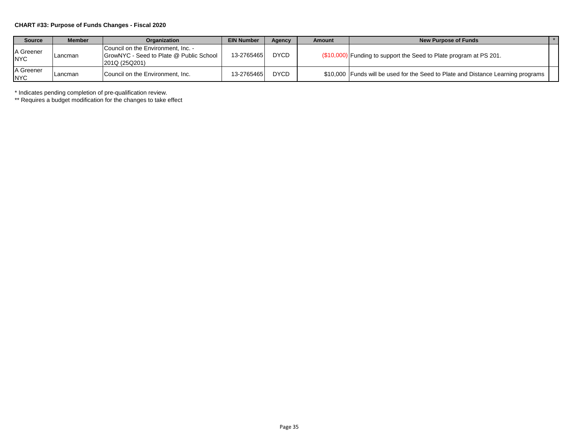#### **CHART #33: Purpose of Funds Changes - Fiscal 2020**

| <b>Source</b>           | <b>Member</b> | <b>Organization</b>                                                                                   | <b>EIN Number</b> | Agency      | Amount           | New Purpose of Funds                                                             |  |
|-------------------------|---------------|-------------------------------------------------------------------------------------------------------|-------------------|-------------|------------------|----------------------------------------------------------------------------------|--|
| A Greener<br><b>NYC</b> | Lancman       | Council on the Environment, Inc. -<br><b>GrowNYC</b> - Seed to Plate @ Public School<br>201Q (25Q201) | 13-2765465        | <b>DYCD</b> | <b>7\$10,00€</b> | 10) Funding to support the Seed to Plate program at PS 201.                      |  |
| A Greener<br><b>NYC</b> | Lancman       | Council on the Environment, Inc.                                                                      | 13-27654651       | <b>DYCD</b> |                  | \$10,000 Funds will be used for the Seed to Plate and Distance Learning programs |  |

\* Indicates pending completion of pre-qualification review.